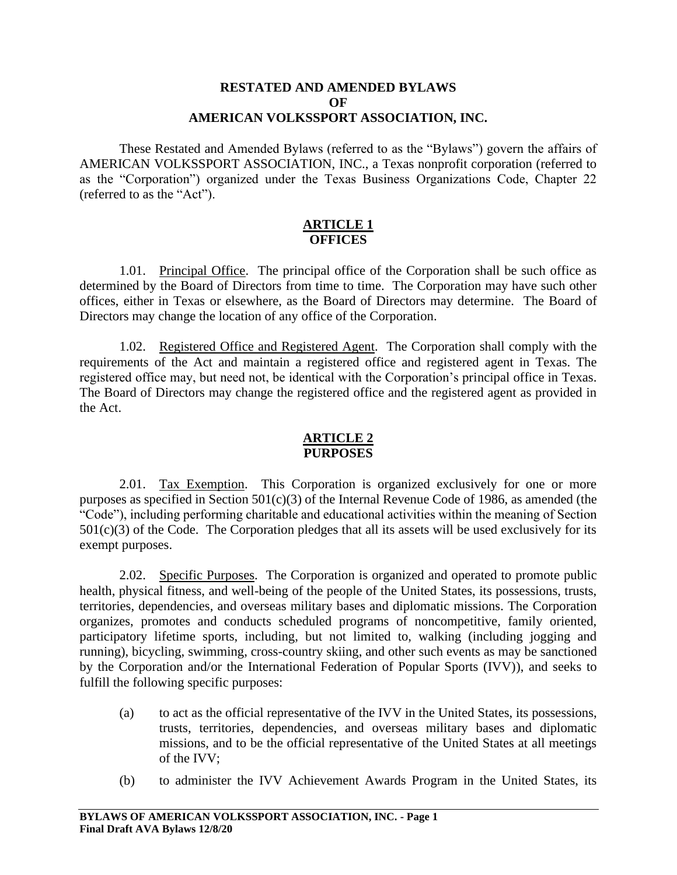## **RESTATED AND AMENDED BYLAWS OF AMERICAN VOLKSSPORT ASSOCIATION, INC.**

These Restated and Amended Bylaws (referred to as the "Bylaws") govern the affairs of AMERICAN VOLKSSPORT ASSOCIATION, INC., a Texas nonprofit corporation (referred to as the "Corporation") organized under the Texas Business Organizations Code, Chapter 22 (referred to as the "Act").

### **ARTICLE 1 OFFICES**

1.01. Principal Office. The principal office of the Corporation shall be such office as determined by the Board of Directors from time to time. The Corporation may have such other offices, either in Texas or elsewhere, as the Board of Directors may determine. The Board of Directors may change the location of any office of the Corporation.

1.02. Registered Office and Registered Agent. The Corporation shall comply with the requirements of the Act and maintain a registered office and registered agent in Texas. The registered office may, but need not, be identical with the Corporation's principal office in Texas. The Board of Directors may change the registered office and the registered agent as provided in the Act.

### **ARTICLE 2 PURPOSES**

2.01. Tax Exemption. This Corporation is organized exclusively for one or more purposes as specified in Section  $501(c)(3)$  of the Internal Revenue Code of 1986, as amended (the "Code"), including performing charitable and educational activities within the meaning of Section  $501(c)(3)$  of the Code. The Corporation pledges that all its assets will be used exclusively for its exempt purposes.

2.02. Specific Purposes. The Corporation is organized and operated to promote public health, physical fitness, and well-being of the people of the United States, its possessions, trusts, territories, dependencies, and overseas military bases and diplomatic missions. The Corporation organizes, promotes and conducts scheduled programs of noncompetitive, family oriented, participatory lifetime sports, including, but not limited to, walking (including jogging and running), bicycling, swimming, cross-country skiing, and other such events as may be sanctioned by the Corporation and/or the International Federation of Popular Sports (IVV)), and seeks to fulfill the following specific purposes:

- (a) to act as the official representative of the IVV in the United States, its possessions, trusts, territories, dependencies, and overseas military bases and diplomatic missions, and to be the official representative of the United States at all meetings of the IVV;
- (b) to administer the IVV Achievement Awards Program in the United States, its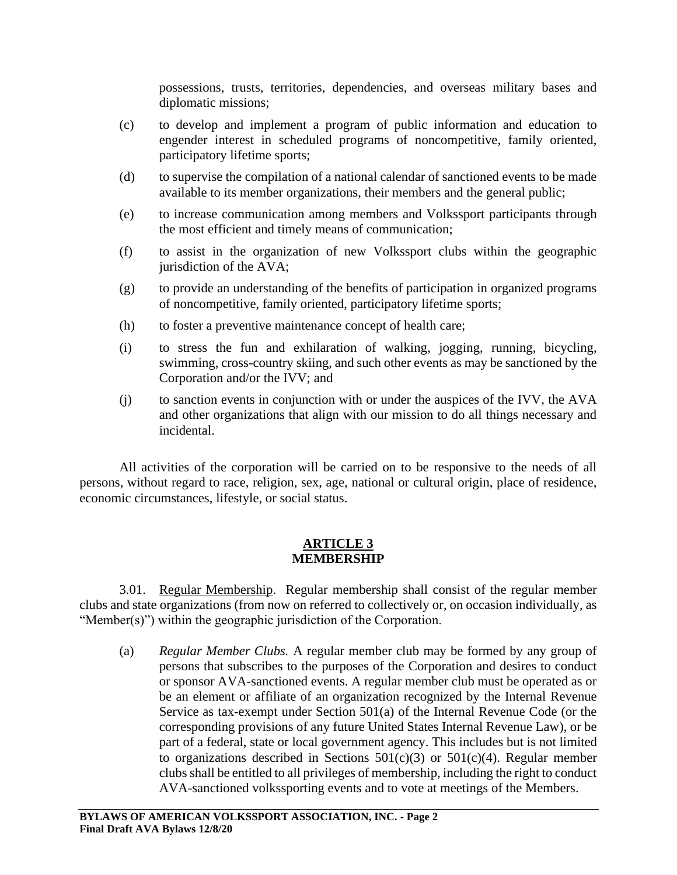possessions, trusts, territories, dependencies, and overseas military bases and diplomatic missions;

- (c) to develop and implement a program of public information and education to engender interest in scheduled programs of noncompetitive, family oriented, participatory lifetime sports;
- (d) to supervise the compilation of a national calendar of sanctioned events to be made available to its member organizations, their members and the general public;
- (e) to increase communication among members and Volkssport participants through the most efficient and timely means of communication;
- (f) to assist in the organization of new Volkssport clubs within the geographic jurisdiction of the AVA;
- (g) to provide an understanding of the benefits of participation in organized programs of noncompetitive, family oriented, participatory lifetime sports;
- (h) to foster a preventive maintenance concept of health care;
- (i) to stress the fun and exhilaration of walking, jogging, running, bicycling, swimming, cross-country skiing, and such other events as may be sanctioned by the Corporation and/or the IVV; and
- (j) to sanction events in conjunction with or under the auspices of the IVV, the AVA and other organizations that align with our mission to do all things necessary and incidental.

All activities of the corporation will be carried on to be responsive to the needs of all persons, without regard to race, religion, sex, age, national or cultural origin, place of residence, economic circumstances, lifestyle, or social status.

### **ARTICLE 3 MEMBERSHIP**

3.01. Regular Membership. Regular membership shall consist of the regular member clubs and state organizations (from now on referred to collectively or, on occasion individually, as "Member(s)") within the geographic jurisdiction of the Corporation.

(a) *Regular Member Clubs.* A regular member club may be formed by any group of persons that subscribes to the purposes of the Corporation and desires to conduct or sponsor AVA-sanctioned events. A regular member club must be operated as or be an element or affiliate of an organization recognized by the Internal Revenue Service as tax-exempt under Section 501(a) of the Internal Revenue Code (or the corresponding provisions of any future United States Internal Revenue Law), or be part of a federal, state or local government agency. This includes but is not limited to organizations described in Sections  $501(c)(3)$  or  $501(c)(4)$ . Regular member clubs shall be entitled to all privileges of membership, including the right to conduct AVA-sanctioned volkssporting events and to vote at meetings of the Members.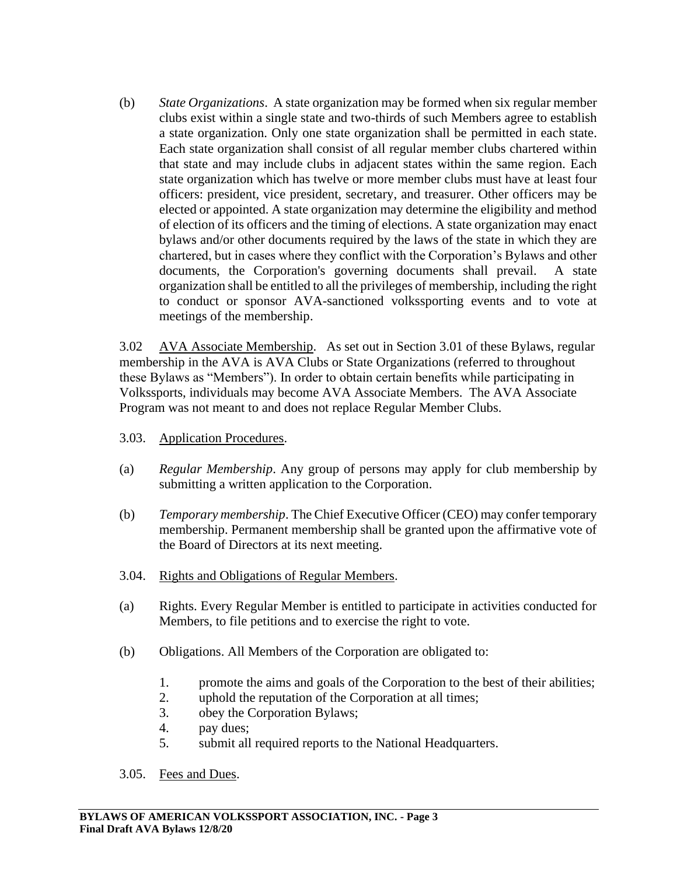(b) *State Organizations*. A state organization may be formed when six regular member clubs exist within a single state and two-thirds of such Members agree to establish a state organization. Only one state organization shall be permitted in each state. Each state organization shall consist of all regular member clubs chartered within that state and may include clubs in adjacent states within the same region. Each state organization which has twelve or more member clubs must have at least four officers: president, vice president, secretary, and treasurer. Other officers may be elected or appointed. A state organization may determine the eligibility and method of election of its officers and the timing of elections. A state organization may enact bylaws and/or other documents required by the laws of the state in which they are chartered, but in cases where they conflict with the Corporation's Bylaws and other documents, the Corporation's governing documents shall prevail. A state organization shall be entitled to all the privileges of membership, including the right to conduct or sponsor AVA-sanctioned volkssporting events and to vote at meetings of the membership.

3.02 AVA Associate Membership.As set out in Section 3.01 of these Bylaws, regular membership in the AVA is AVA Clubs or State Organizations (referred to throughout these Bylaws as "Members"). In order to obtain certain benefits while participating in Volkssports, individuals may become AVA Associate Members. The AVA Associate Program was not meant to and does not replace Regular Member Clubs.

- 3.03. Application Procedures.
- (a) *Regular Membership*. Any group of persons may apply for club membership by submitting a written application to the Corporation.
- (b) *Temporary membership*. The Chief Executive Officer (CEO) may confer temporary membership. Permanent membership shall be granted upon the affirmative vote of the Board of Directors at its next meeting.
- 3.04. Rights and Obligations of Regular Members.
- (a) Rights. Every Regular Member is entitled to participate in activities conducted for Members, to file petitions and to exercise the right to vote.
- (b) Obligations. All Members of the Corporation are obligated to:
	- 1. promote the aims and goals of the Corporation to the best of their abilities;
	- 2. uphold the reputation of the Corporation at all times;
	- 3. obey the Corporation Bylaws;
	- 4. pay dues;
	- 5. submit all required reports to the National Headquarters.
- 3.05. Fees and Dues.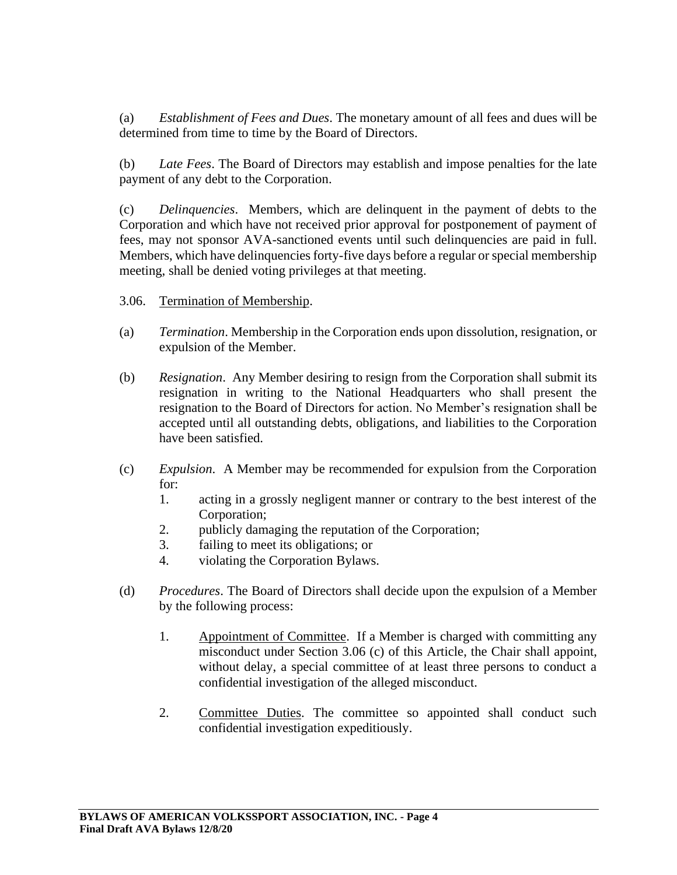(a) *Establishment of Fees and Dues*. The monetary amount of all fees and dues will be determined from time to time by the Board of Directors.

(b) *Late Fees*. The Board of Directors may establish and impose penalties for the late payment of any debt to the Corporation.

(c) *Delinquencies*. Members, which are delinquent in the payment of debts to the Corporation and which have not received prior approval for postponement of payment of fees, may not sponsor AVA-sanctioned events until such delinquencies are paid in full. Members, which have delinquencies forty-five days before a regular or special membership meeting, shall be denied voting privileges at that meeting.

- 3.06. Termination of Membership.
- (a) *Termination*. Membership in the Corporation ends upon dissolution, resignation, or expulsion of the Member.
- (b) *Resignation*. Any Member desiring to resign from the Corporation shall submit its resignation in writing to the National Headquarters who shall present the resignation to the Board of Directors for action. No Member's resignation shall be accepted until all outstanding debts, obligations, and liabilities to the Corporation have been satisfied.
- (c) *Expulsion*. A Member may be recommended for expulsion from the Corporation for:
	- 1. acting in a grossly negligent manner or contrary to the best interest of the Corporation;
	- 2. publicly damaging the reputation of the Corporation;
	- 3. failing to meet its obligations; or
	- 4. violating the Corporation Bylaws.
- (d) *Procedures*. The Board of Directors shall decide upon the expulsion of a Member by the following process:
	- 1. Appointment of Committee. If a Member is charged with committing any misconduct under Section 3.06 (c) of this Article, the Chair shall appoint, without delay, a special committee of at least three persons to conduct a confidential investigation of the alleged misconduct.
	- 2. Committee Duties. The committee so appointed shall conduct such confidential investigation expeditiously.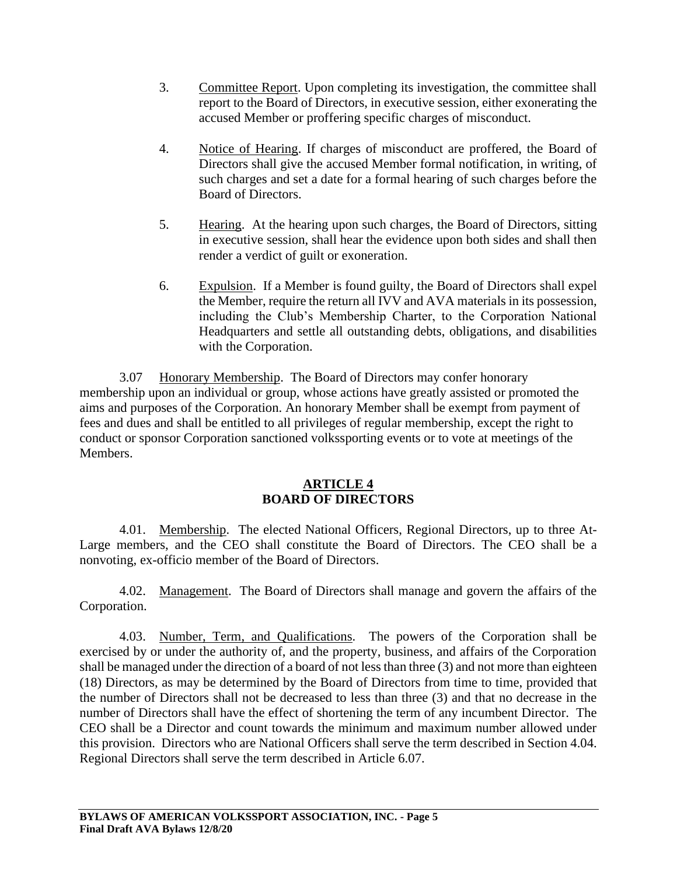- 3. Committee Report. Upon completing its investigation, the committee shall report to the Board of Directors, in executive session, either exonerating the accused Member or proffering specific charges of misconduct.
- 4. Notice of Hearing. If charges of misconduct are proffered, the Board of Directors shall give the accused Member formal notification, in writing, of such charges and set a date for a formal hearing of such charges before the Board of Directors.
- 5. Hearing. At the hearing upon such charges, the Board of Directors, sitting in executive session, shall hear the evidence upon both sides and shall then render a verdict of guilt or exoneration.
- 6. Expulsion. If a Member is found guilty, the Board of Directors shall expel the Member, require the return all IVV and AVA materials in its possession, including the Club's Membership Charter, to the Corporation National Headquarters and settle all outstanding debts, obligations, and disabilities with the Corporation.

3.07 Honorary Membership. The Board of Directors may confer honorary membership upon an individual or group, whose actions have greatly assisted or promoted the aims and purposes of the Corporation. An honorary Member shall be exempt from payment of fees and dues and shall be entitled to all privileges of regular membership, except the right to conduct or sponsor Corporation sanctioned volkssporting events or to vote at meetings of the Members.

# **ARTICLE 4 BOARD OF DIRECTORS**

4.01. Membership. The elected National Officers, Regional Directors, up to three At-Large members, and the CEO shall constitute the Board of Directors. The CEO shall be a nonvoting, ex-officio member of the Board of Directors.

4.02. Management. The Board of Directors shall manage and govern the affairs of the Corporation.

4.03. Number, Term, and Qualifications. The powers of the Corporation shall be exercised by or under the authority of, and the property, business, and affairs of the Corporation shall be managed under the direction of a board of not less than three (3) and not more than eighteen (18) Directors, as may be determined by the Board of Directors from time to time, provided that the number of Directors shall not be decreased to less than three (3) and that no decrease in the number of Directors shall have the effect of shortening the term of any incumbent Director. The CEO shall be a Director and count towards the minimum and maximum number allowed under this provision. Directors who are National Officers shall serve the term described in Section 4.04. Regional Directors shall serve the term described in Article 6.07.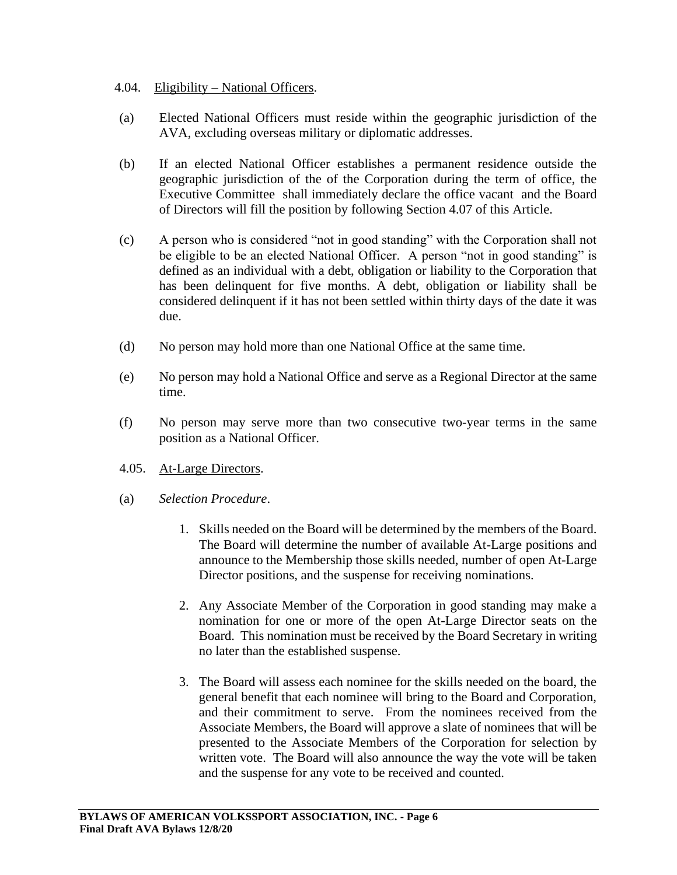- 4.04. Eligibility National Officers.
- (a) Elected National Officers must reside within the geographic jurisdiction of the AVA, excluding overseas military or diplomatic addresses.
- (b) If an elected National Officer establishes a permanent residence outside the geographic jurisdiction of the of the Corporation during the term of office, the Executive Committee shall immediately declare the office vacant and the Board of Directors will fill the position by following Section 4.07 of this Article.
- (c) A person who is considered "not in good standing" with the Corporation shall not be eligible to be an elected National Officer. A person "not in good standing" is defined as an individual with a debt, obligation or liability to the Corporation that has been delinquent for five months. A debt, obligation or liability shall be considered delinquent if it has not been settled within thirty days of the date it was due.
- (d) No person may hold more than one National Office at the same time.
- (e) No person may hold a National Office and serve as a Regional Director at the same time.
- (f) No person may serve more than two consecutive two-year terms in the same position as a National Officer.
- 4.05. At-Large Directors.
- (a) *Selection Procedure*.
	- 1. Skills needed on the Board will be determined by the members of the Board. The Board will determine the number of available At-Large positions and announce to the Membership those skills needed, number of open At-Large Director positions, and the suspense for receiving nominations.
	- 2. Any Associate Member of the Corporation in good standing may make a nomination for one or more of the open At-Large Director seats on the Board. This nomination must be received by the Board Secretary in writing no later than the established suspense.
	- 3. The Board will assess each nominee for the skills needed on the board, the general benefit that each nominee will bring to the Board and Corporation, and their commitment to serve. From the nominees received from the Associate Members, the Board will approve a slate of nominees that will be presented to the Associate Members of the Corporation for selection by written vote. The Board will also announce the way the vote will be taken and the suspense for any vote to be received and counted.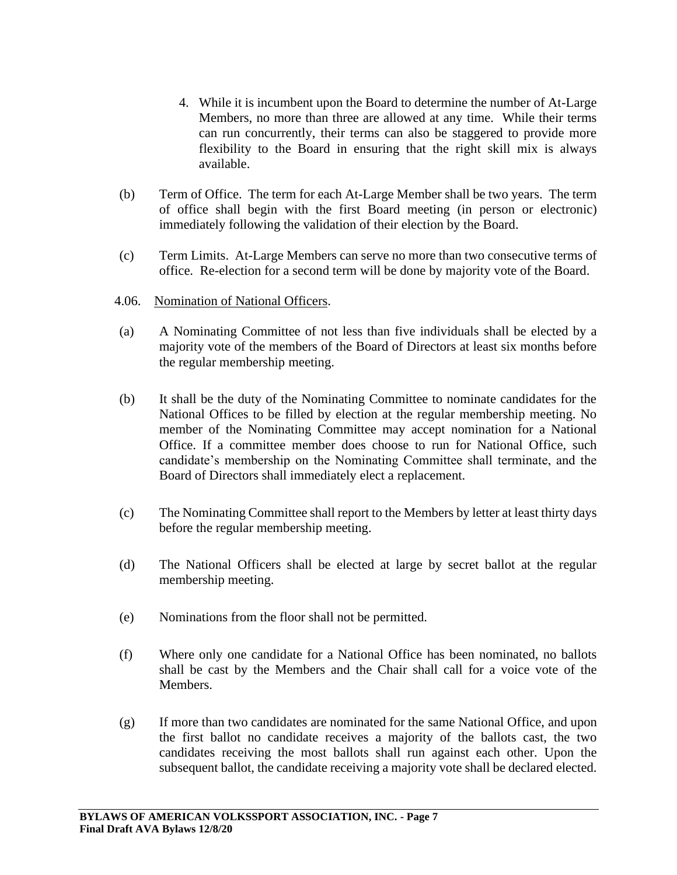- 4. While it is incumbent upon the Board to determine the number of At-Large Members, no more than three are allowed at any time. While their terms can run concurrently, their terms can also be staggered to provide more flexibility to the Board in ensuring that the right skill mix is always available.
- (b) Term of Office. The term for each At-Large Member shall be two years. The term of office shall begin with the first Board meeting (in person or electronic) immediately following the validation of their election by the Board.
- (c) Term Limits. At-Large Members can serve no more than two consecutive terms of office. Re-election for a second term will be done by majority vote of the Board.
- 4.06. Nomination of National Officers.
- (a) A Nominating Committee of not less than five individuals shall be elected by a majority vote of the members of the Board of Directors at least six months before the regular membership meeting.
- (b) It shall be the duty of the Nominating Committee to nominate candidates for the National Offices to be filled by election at the regular membership meeting. No member of the Nominating Committee may accept nomination for a National Office. If a committee member does choose to run for National Office, such candidate's membership on the Nominating Committee shall terminate, and the Board of Directors shall immediately elect a replacement.
- (c) The Nominating Committee shall report to the Members by letter at least thirty days before the regular membership meeting.
- (d) The National Officers shall be elected at large by secret ballot at the regular membership meeting.
- (e) Nominations from the floor shall not be permitted.
- (f) Where only one candidate for a National Office has been nominated, no ballots shall be cast by the Members and the Chair shall call for a voice vote of the Members.
- (g) If more than two candidates are nominated for the same National Office, and upon the first ballot no candidate receives a majority of the ballots cast, the two candidates receiving the most ballots shall run against each other. Upon the subsequent ballot, the candidate receiving a majority vote shall be declared elected.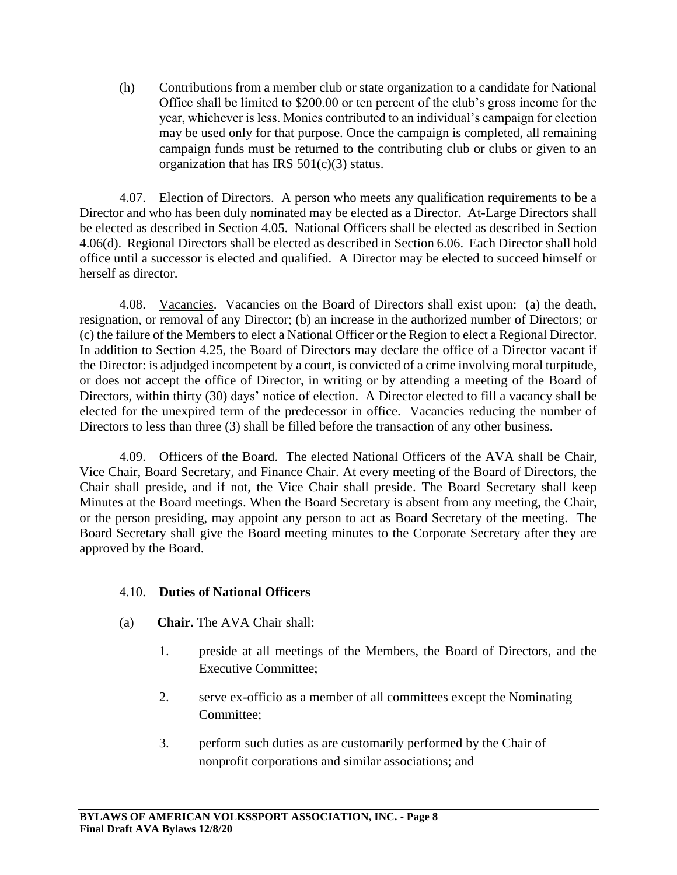(h) Contributions from a member club or state organization to a candidate for National Office shall be limited to \$200.00 or ten percent of the club's gross income for the year, whichever is less. Monies contributed to an individual's campaign for election may be used only for that purpose. Once the campaign is completed, all remaining campaign funds must be returned to the contributing club or clubs or given to an organization that has IRS  $501(c)(3)$  status.

4.07. Election of Directors. A person who meets any qualification requirements to be a Director and who has been duly nominated may be elected as a Director. At-Large Directors shall be elected as described in Section 4.05. National Officers shall be elected as described in Section 4.06(d). Regional Directors shall be elected as described in Section 6.06. Each Director shall hold office until a successor is elected and qualified. A Director may be elected to succeed himself or herself as director.

4.08. Vacancies. Vacancies on the Board of Directors shall exist upon: (a) the death, resignation, or removal of any Director; (b) an increase in the authorized number of Directors; or (c) the failure of the Members to elect a National Officer or the Region to elect a Regional Director. In addition to Section 4.25, the Board of Directors may declare the office of a Director vacant if the Director: is adjudged incompetent by a court, is convicted of a crime involving moral turpitude, or does not accept the office of Director, in writing or by attending a meeting of the Board of Directors, within thirty (30) days' notice of election. A Director elected to fill a vacancy shall be elected for the unexpired term of the predecessor in office. Vacancies reducing the number of Directors to less than three (3) shall be filled before the transaction of any other business.

4.09. Officers of the Board. The elected National Officers of the AVA shall be Chair, Vice Chair, Board Secretary, and Finance Chair. At every meeting of the Board of Directors, the Chair shall preside, and if not, the Vice Chair shall preside. The Board Secretary shall keep Minutes at the Board meetings. When the Board Secretary is absent from any meeting, the Chair, or the person presiding, may appoint any person to act as Board Secretary of the meeting. The Board Secretary shall give the Board meeting minutes to the Corporate Secretary after they are approved by the Board.

## 4.10. **Duties of National Officers**

- (a) **Chair.** The AVA Chair shall:
	- 1. preside at all meetings of the Members, the Board of Directors, and the Executive Committee;
	- 2. serve ex-officio as a member of all committees except the Nominating Committee;
	- 3. perform such duties as are customarily performed by the Chair of nonprofit corporations and similar associations; and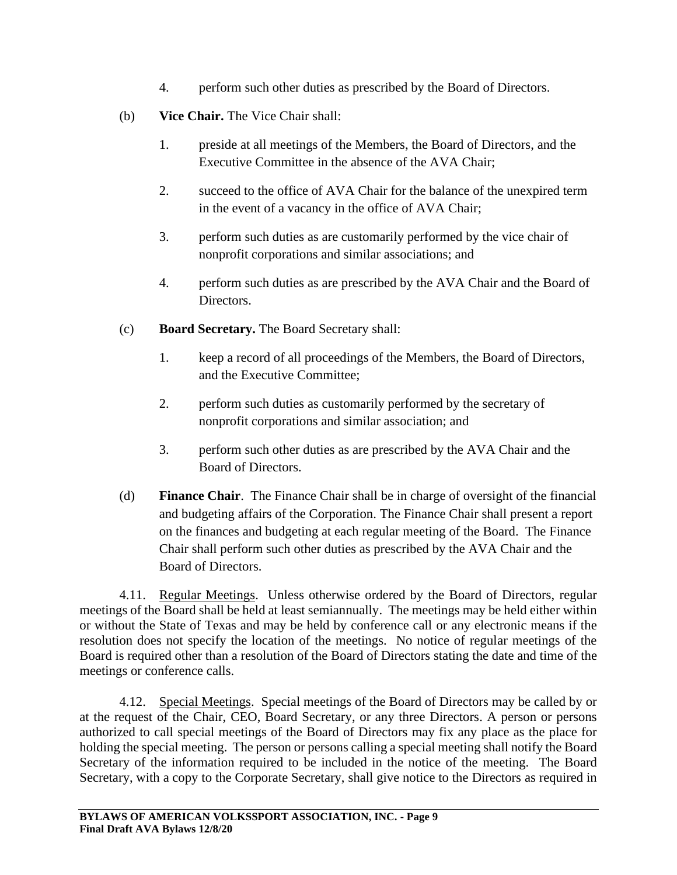- 4. perform such other duties as prescribed by the Board of Directors.
- (b) **Vice Chair.** The Vice Chair shall:
	- 1. preside at all meetings of the Members, the Board of Directors, and the Executive Committee in the absence of the AVA Chair;
	- 2. succeed to the office of AVA Chair for the balance of the unexpired term in the event of a vacancy in the office of AVA Chair;
	- 3. perform such duties as are customarily performed by the vice chair of nonprofit corporations and similar associations; and
	- 4. perform such duties as are prescribed by the AVA Chair and the Board of Directors.
- (c) **Board Secretary.** The Board Secretary shall:
	- 1. keep a record of all proceedings of the Members, the Board of Directors, and the Executive Committee;
	- 2. perform such duties as customarily performed by the secretary of nonprofit corporations and similar association; and
	- 3. perform such other duties as are prescribed by the AVA Chair and the Board of Directors.
- (d) **Finance Chair**. The Finance Chair shall be in charge of oversight of the financial and budgeting affairs of the Corporation. The Finance Chair shall present a report on the finances and budgeting at each regular meeting of the Board. The Finance Chair shall perform such other duties as prescribed by the AVA Chair and the Board of Directors.

4.11. Regular Meetings. Unless otherwise ordered by the Board of Directors, regular meetings of the Board shall be held at least semiannually. The meetings may be held either within or without the State of Texas and may be held by conference call or any electronic means if the resolution does not specify the location of the meetings. No notice of regular meetings of the Board is required other than a resolution of the Board of Directors stating the date and time of the meetings or conference calls.

4.12. Special Meetings. Special meetings of the Board of Directors may be called by or at the request of the Chair, CEO, Board Secretary, or any three Directors. A person or persons authorized to call special meetings of the Board of Directors may fix any place as the place for holding the special meeting. The person or persons calling a special meeting shall notify the Board Secretary of the information required to be included in the notice of the meeting. The Board Secretary, with a copy to the Corporate Secretary, shall give notice to the Directors as required in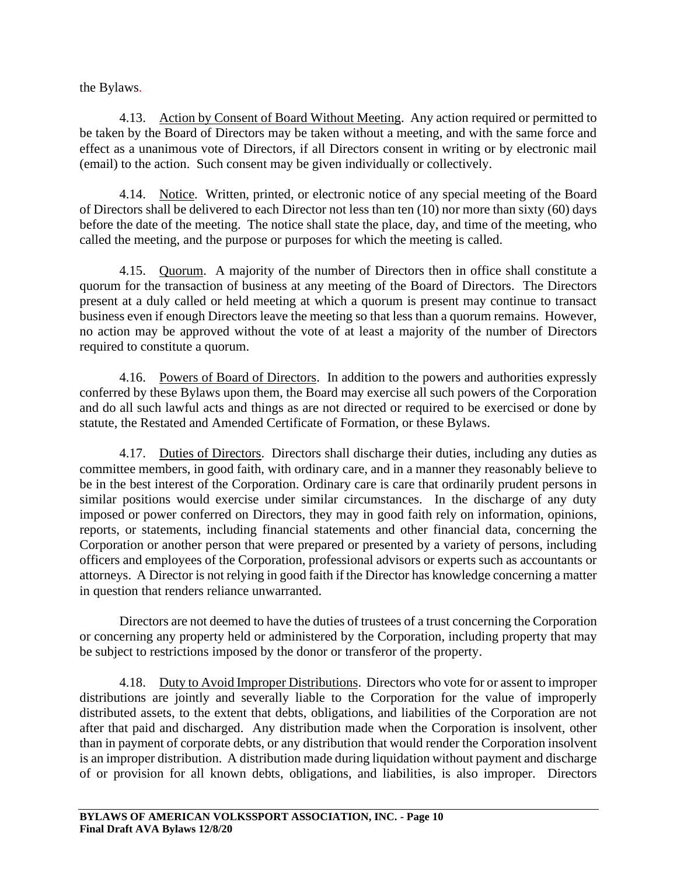the Bylaws.

4.13. Action by Consent of Board Without Meeting. Any action required or permitted to be taken by the Board of Directors may be taken without a meeting, and with the same force and effect as a unanimous vote of Directors, if all Directors consent in writing or by electronic mail (email) to the action. Such consent may be given individually or collectively.

4.14. Notice. Written, printed, or electronic notice of any special meeting of the Board of Directors shall be delivered to each Director not less than ten (10) nor more than sixty (60) days before the date of the meeting. The notice shall state the place, day, and time of the meeting, who called the meeting, and the purpose or purposes for which the meeting is called.

4.15. Quorum. A majority of the number of Directors then in office shall constitute a quorum for the transaction of business at any meeting of the Board of Directors. The Directors present at a duly called or held meeting at which a quorum is present may continue to transact business even if enough Directors leave the meeting so that less than a quorum remains. However, no action may be approved without the vote of at least a majority of the number of Directors required to constitute a quorum.

4.16. Powers of Board of Directors. In addition to the powers and authorities expressly conferred by these Bylaws upon them, the Board may exercise all such powers of the Corporation and do all such lawful acts and things as are not directed or required to be exercised or done by statute, the Restated and Amended Certificate of Formation, or these Bylaws.

4.17. Duties of Directors. Directors shall discharge their duties, including any duties as committee members, in good faith, with ordinary care, and in a manner they reasonably believe to be in the best interest of the Corporation. Ordinary care is care that ordinarily prudent persons in similar positions would exercise under similar circumstances. In the discharge of any duty imposed or power conferred on Directors, they may in good faith rely on information, opinions, reports, or statements, including financial statements and other financial data, concerning the Corporation or another person that were prepared or presented by a variety of persons, including officers and employees of the Corporation, professional advisors or experts such as accountants or attorneys. A Director is not relying in good faith if the Director has knowledge concerning a matter in question that renders reliance unwarranted.

Directors are not deemed to have the duties of trustees of a trust concerning the Corporation or concerning any property held or administered by the Corporation, including property that may be subject to restrictions imposed by the donor or transferor of the property.

4.18. Duty to Avoid Improper Distributions. Directors who vote for or assent to improper distributions are jointly and severally liable to the Corporation for the value of improperly distributed assets, to the extent that debts, obligations, and liabilities of the Corporation are not after that paid and discharged. Any distribution made when the Corporation is insolvent, other than in payment of corporate debts, or any distribution that would render the Corporation insolvent is an improper distribution. A distribution made during liquidation without payment and discharge of or provision for all known debts, obligations, and liabilities, is also improper. Directors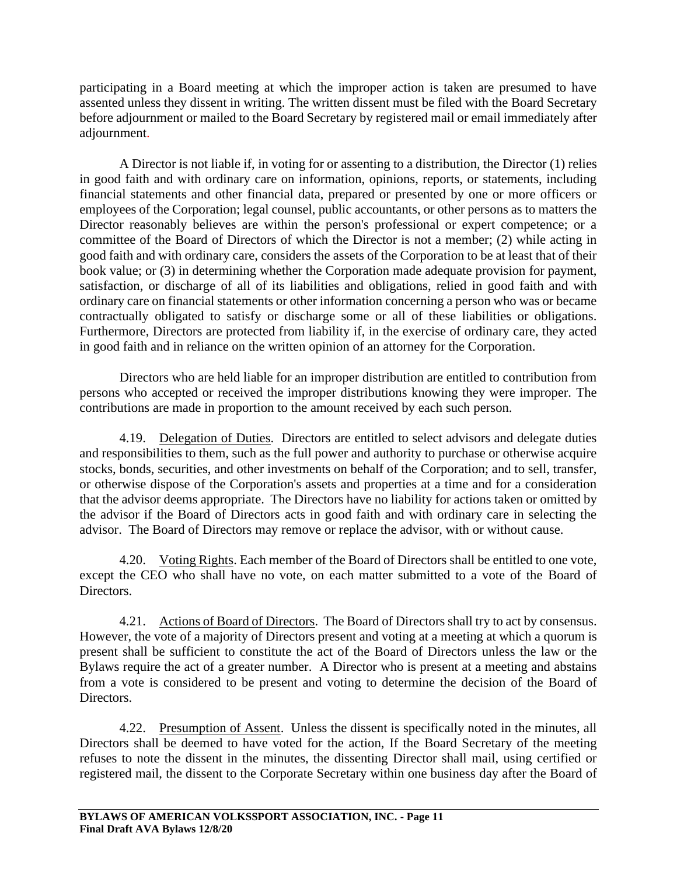participating in a Board meeting at which the improper action is taken are presumed to have assented unless they dissent in writing. The written dissent must be filed with the Board Secretary before adjournment or mailed to the Board Secretary by registered mail or email immediately after adjournment.

A Director is not liable if, in voting for or assenting to a distribution, the Director (1) relies in good faith and with ordinary care on information, opinions, reports, or statements, including financial statements and other financial data, prepared or presented by one or more officers or employees of the Corporation; legal counsel, public accountants, or other persons as to matters the Director reasonably believes are within the person's professional or expert competence; or a committee of the Board of Directors of which the Director is not a member; (2) while acting in good faith and with ordinary care, considers the assets of the Corporation to be at least that of their book value; or (3) in determining whether the Corporation made adequate provision for payment, satisfaction, or discharge of all of its liabilities and obligations, relied in good faith and with ordinary care on financial statements or other information concerning a person who was or became contractually obligated to satisfy or discharge some or all of these liabilities or obligations. Furthermore, Directors are protected from liability if, in the exercise of ordinary care, they acted in good faith and in reliance on the written opinion of an attorney for the Corporation.

Directors who are held liable for an improper distribution are entitled to contribution from persons who accepted or received the improper distributions knowing they were improper. The contributions are made in proportion to the amount received by each such person.

4.19. Delegation of Duties. Directors are entitled to select advisors and delegate duties and responsibilities to them, such as the full power and authority to purchase or otherwise acquire stocks, bonds, securities, and other investments on behalf of the Corporation; and to sell, transfer, or otherwise dispose of the Corporation's assets and properties at a time and for a consideration that the advisor deems appropriate. The Directors have no liability for actions taken or omitted by the advisor if the Board of Directors acts in good faith and with ordinary care in selecting the advisor. The Board of Directors may remove or replace the advisor, with or without cause.

4.20. Voting Rights. Each member of the Board of Directors shall be entitled to one vote, except the CEO who shall have no vote, on each matter submitted to a vote of the Board of Directors.

4.21. Actions of Board of Directors. The Board of Directors shall try to act by consensus. However, the vote of a majority of Directors present and voting at a meeting at which a quorum is present shall be sufficient to constitute the act of the Board of Directors unless the law or the Bylaws require the act of a greater number. A Director who is present at a meeting and abstains from a vote is considered to be present and voting to determine the decision of the Board of Directors.

4.22. Presumption of Assent. Unless the dissent is specifically noted in the minutes, all Directors shall be deemed to have voted for the action, If the Board Secretary of the meeting refuses to note the dissent in the minutes, the dissenting Director shall mail, using certified or registered mail, the dissent to the Corporate Secretary within one business day after the Board of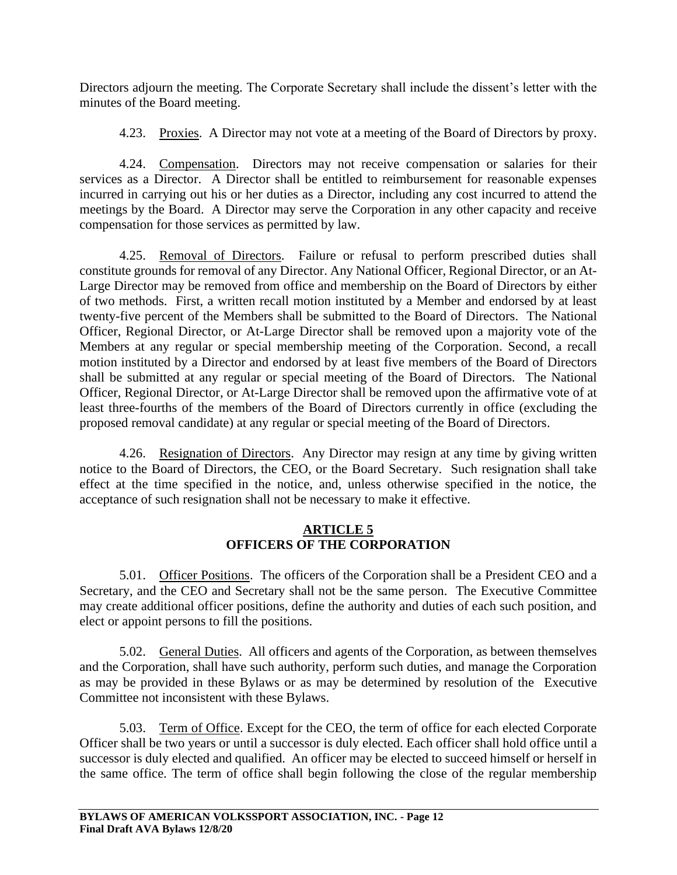Directors adjourn the meeting. The Corporate Secretary shall include the dissent's letter with the minutes of the Board meeting.

4.23. Proxies. A Director may not vote at a meeting of the Board of Directors by proxy.

4.24. Compensation. Directors may not receive compensation or salaries for their services as a Director. A Director shall be entitled to reimbursement for reasonable expenses incurred in carrying out his or her duties as a Director, including any cost incurred to attend the meetings by the Board. A Director may serve the Corporation in any other capacity and receive compensation for those services as permitted by law.

4.25. Removal of Directors. Failure or refusal to perform prescribed duties shall constitute grounds for removal of any Director. Any National Officer, Regional Director, or an At-Large Director may be removed from office and membership on the Board of Directors by either of two methods. First, a written recall motion instituted by a Member and endorsed by at least twenty-five percent of the Members shall be submitted to the Board of Directors. The National Officer, Regional Director, or At-Large Director shall be removed upon a majority vote of the Members at any regular or special membership meeting of the Corporation. Second, a recall motion instituted by a Director and endorsed by at least five members of the Board of Directors shall be submitted at any regular or special meeting of the Board of Directors. The National Officer, Regional Director, or At-Large Director shall be removed upon the affirmative vote of at least three-fourths of the members of the Board of Directors currently in office (excluding the proposed removal candidate) at any regular or special meeting of the Board of Directors.

4.26. Resignation of Directors. Any Director may resign at any time by giving written notice to the Board of Directors, the CEO, or the Board Secretary. Such resignation shall take effect at the time specified in the notice, and, unless otherwise specified in the notice, the acceptance of such resignation shall not be necessary to make it effective.

## **ARTICLE 5 OFFICERS OF THE CORPORATION**

5.01. Officer Positions. The officers of the Corporation shall be a President CEO and a Secretary, and the CEO and Secretary shall not be the same person. The Executive Committee may create additional officer positions, define the authority and duties of each such position, and elect or appoint persons to fill the positions.

5.02. General Duties. All officers and agents of the Corporation, as between themselves and the Corporation, shall have such authority, perform such duties, and manage the Corporation as may be provided in these Bylaws or as may be determined by resolution of the Executive Committee not inconsistent with these Bylaws.

5.03. Term of Office. Except for the CEO, the term of office for each elected Corporate Officer shall be two years or until a successor is duly elected. Each officer shall hold office until a successor is duly elected and qualified. An officer may be elected to succeed himself or herself in the same office. The term of office shall begin following the close of the regular membership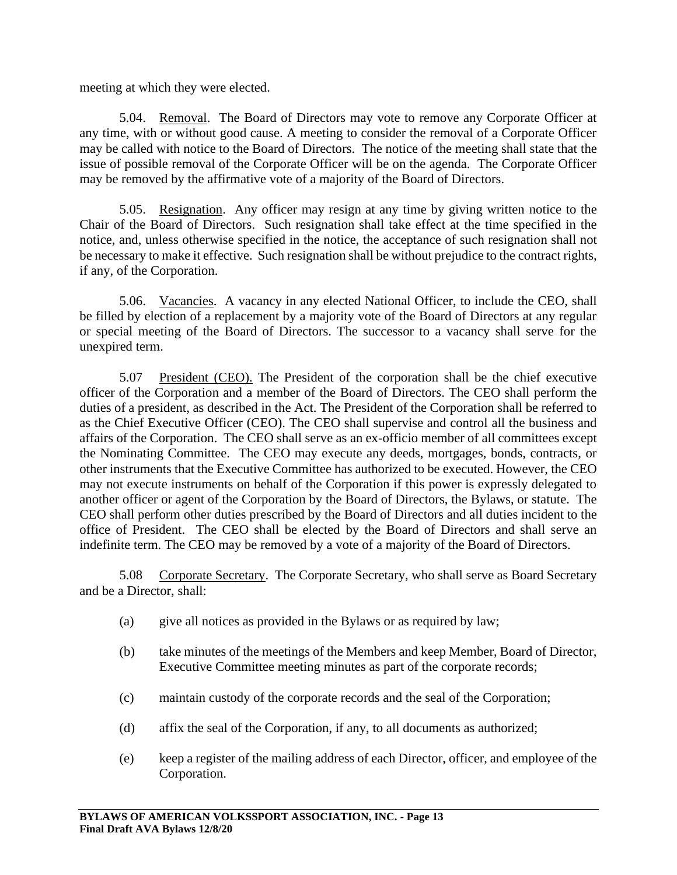meeting at which they were elected.

5.04. Removal. The Board of Directors may vote to remove any Corporate Officer at any time, with or without good cause. A meeting to consider the removal of a Corporate Officer may be called with notice to the Board of Directors. The notice of the meeting shall state that the issue of possible removal of the Corporate Officer will be on the agenda. The Corporate Officer may be removed by the affirmative vote of a majority of the Board of Directors.

5.05. Resignation. Any officer may resign at any time by giving written notice to the Chair of the Board of Directors. Such resignation shall take effect at the time specified in the notice, and, unless otherwise specified in the notice, the acceptance of such resignation shall not be necessary to make it effective. Such resignation shall be without prejudice to the contract rights, if any, of the Corporation.

5.06. Vacancies. A vacancy in any elected National Officer, to include the CEO, shall be filled by election of a replacement by a majority vote of the Board of Directors at any regular or special meeting of the Board of Directors. The successor to a vacancy shall serve for the unexpired term.

5.07 President (CEO). The President of the corporation shall be the chief executive officer of the Corporation and a member of the Board of Directors. The CEO shall perform the duties of a president, as described in the Act. The President of the Corporation shall be referred to as the Chief Executive Officer (CEO). The CEO shall supervise and control all the business and affairs of the Corporation. The CEO shall serve as an ex-officio member of all committees except the Nominating Committee. The CEO may execute any deeds, mortgages, bonds, contracts, or other instruments that the Executive Committee has authorized to be executed. However, the CEO may not execute instruments on behalf of the Corporation if this power is expressly delegated to another officer or agent of the Corporation by the Board of Directors, the Bylaws, or statute. The CEO shall perform other duties prescribed by the Board of Directors and all duties incident to the office of President. The CEO shall be elected by the Board of Directors and shall serve an indefinite term. The CEO may be removed by a vote of a majority of the Board of Directors.

5.08 Corporate Secretary. The Corporate Secretary, who shall serve as Board Secretary and be a Director, shall:

- (a) give all notices as provided in the Bylaws or as required by law;
- (b) take minutes of the meetings of the Members and keep Member, Board of Director, Executive Committee meeting minutes as part of the corporate records;
- (c) maintain custody of the corporate records and the seal of the Corporation;
- (d) affix the seal of the Corporation, if any, to all documents as authorized;
- (e) keep a register of the mailing address of each Director, officer, and employee of the Corporation.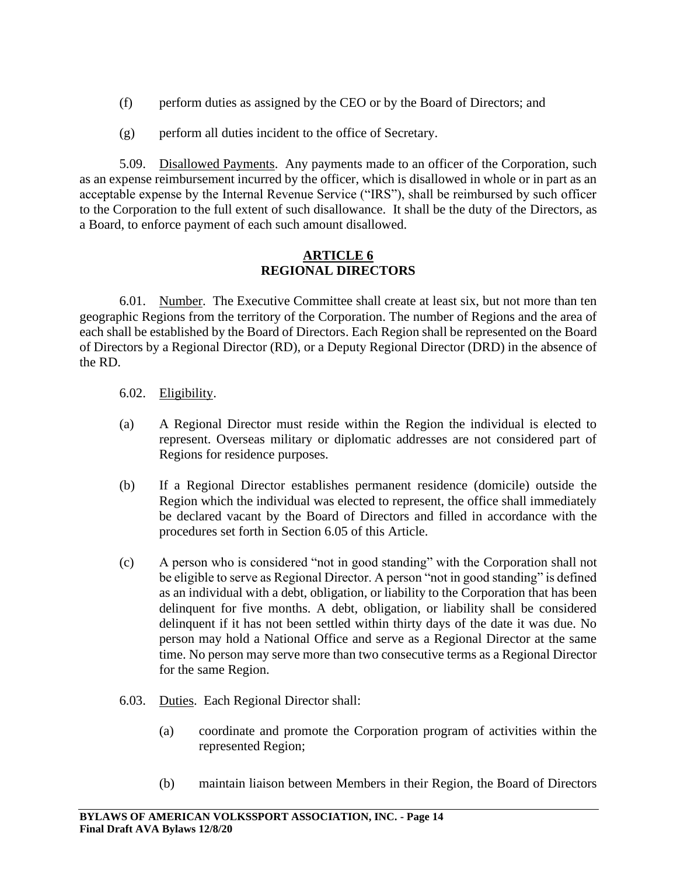- (f) perform duties as assigned by the CEO or by the Board of Directors; and
- (g) perform all duties incident to the office of Secretary.

5.09. Disallowed Payments. Any payments made to an officer of the Corporation, such as an expense reimbursement incurred by the officer, which is disallowed in whole or in part as an acceptable expense by the Internal Revenue Service ("IRS"), shall be reimbursed by such officer to the Corporation to the full extent of such disallowance. It shall be the duty of the Directors, as a Board, to enforce payment of each such amount disallowed.

## **ARTICLE 6 REGIONAL DIRECTORS**

6.01. Number. The Executive Committee shall create at least six, but not more than ten geographic Regions from the territory of the Corporation. The number of Regions and the area of each shall be established by the Board of Directors. Each Region shall be represented on the Board of Directors by a Regional Director (RD), or a Deputy Regional Director (DRD) in the absence of the RD.

- 6.02. Eligibility.
- (a) A Regional Director must reside within the Region the individual is elected to represent. Overseas military or diplomatic addresses are not considered part of Regions for residence purposes.
- (b) If a Regional Director establishes permanent residence (domicile) outside the Region which the individual was elected to represent, the office shall immediately be declared vacant by the Board of Directors and filled in accordance with the procedures set forth in Section 6.05 of this Article.
- (c) A person who is considered "not in good standing" with the Corporation shall not be eligible to serve as Regional Director. A person "not in good standing" is defined as an individual with a debt, obligation, or liability to the Corporation that has been delinquent for five months. A debt, obligation, or liability shall be considered delinquent if it has not been settled within thirty days of the date it was due. No person may hold a National Office and serve as a Regional Director at the same time. No person may serve more than two consecutive terms as a Regional Director for the same Region.
- 6.03. Duties. Each Regional Director shall:
	- (a) coordinate and promote the Corporation program of activities within the represented Region;
	- (b) maintain liaison between Members in their Region, the Board of Directors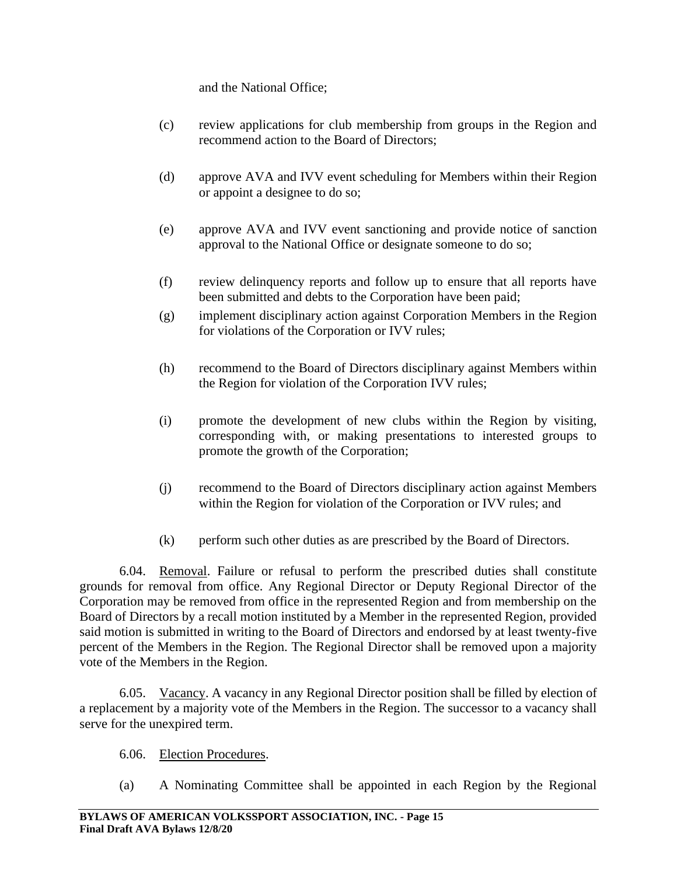and the National Office;

- (c) review applications for club membership from groups in the Region and recommend action to the Board of Directors;
- (d) approve AVA and IVV event scheduling for Members within their Region or appoint a designee to do so;
- (e) approve AVA and IVV event sanctioning and provide notice of sanction approval to the National Office or designate someone to do so;
- (f) review delinquency reports and follow up to ensure that all reports have been submitted and debts to the Corporation have been paid;
- (g) implement disciplinary action against Corporation Members in the Region for violations of the Corporation or IVV rules;
- (h) recommend to the Board of Directors disciplinary against Members within the Region for violation of the Corporation IVV rules;
- (i) promote the development of new clubs within the Region by visiting, corresponding with, or making presentations to interested groups to promote the growth of the Corporation;
- (j) recommend to the Board of Directors disciplinary action against Members within the Region for violation of the Corporation or IVV rules; and
- (k) perform such other duties as are prescribed by the Board of Directors.

6.04. Removal. Failure or refusal to perform the prescribed duties shall constitute grounds for removal from office. Any Regional Director or Deputy Regional Director of the Corporation may be removed from office in the represented Region and from membership on the Board of Directors by a recall motion instituted by a Member in the represented Region, provided said motion is submitted in writing to the Board of Directors and endorsed by at least twenty-five percent of the Members in the Region. The Regional Director shall be removed upon a majority vote of the Members in the Region.

6.05. Vacancy. A vacancy in any Regional Director position shall be filled by election of a replacement by a majority vote of the Members in the Region. The successor to a vacancy shall serve for the unexpired term.

## 6.06. Election Procedures.

(a) A Nominating Committee shall be appointed in each Region by the Regional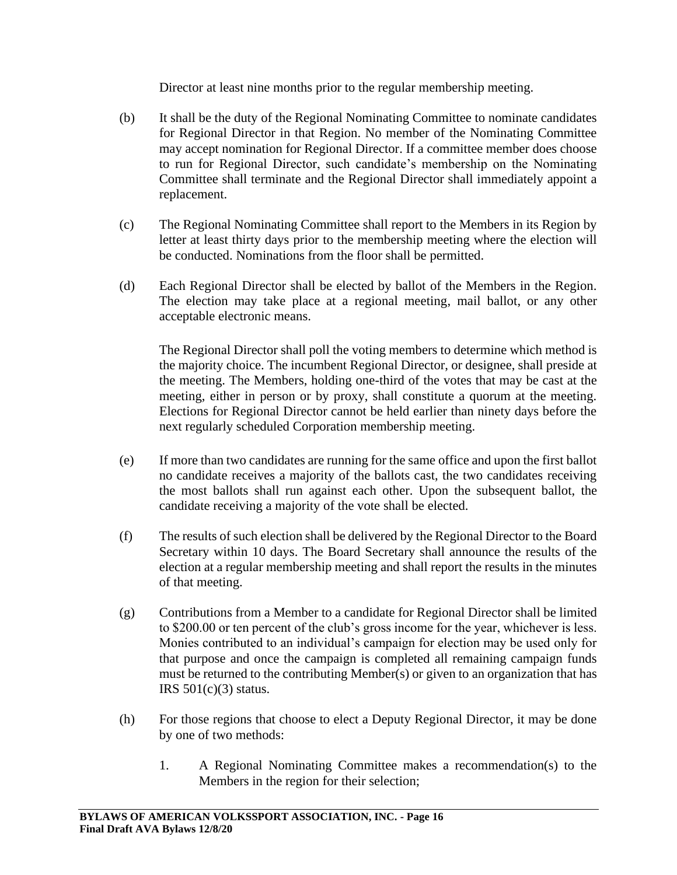Director at least nine months prior to the regular membership meeting.

- (b) It shall be the duty of the Regional Nominating Committee to nominate candidates for Regional Director in that Region. No member of the Nominating Committee may accept nomination for Regional Director. If a committee member does choose to run for Regional Director, such candidate's membership on the Nominating Committee shall terminate and the Regional Director shall immediately appoint a replacement.
- (c) The Regional Nominating Committee shall report to the Members in its Region by letter at least thirty days prior to the membership meeting where the election will be conducted. Nominations from the floor shall be permitted.
- (d) Each Regional Director shall be elected by ballot of the Members in the Region. The election may take place at a regional meeting, mail ballot, or any other acceptable electronic means.

The Regional Director shall poll the voting members to determine which method is the majority choice. The incumbent Regional Director, or designee, shall preside at the meeting. The Members, holding one-third of the votes that may be cast at the meeting, either in person or by proxy, shall constitute a quorum at the meeting. Elections for Regional Director cannot be held earlier than ninety days before the next regularly scheduled Corporation membership meeting.

- (e) If more than two candidates are running for the same office and upon the first ballot no candidate receives a majority of the ballots cast, the two candidates receiving the most ballots shall run against each other. Upon the subsequent ballot, the candidate receiving a majority of the vote shall be elected.
- (f) The results of such election shall be delivered by the Regional Director to the Board Secretary within 10 days. The Board Secretary shall announce the results of the election at a regular membership meeting and shall report the results in the minutes of that meeting.
- (g) Contributions from a Member to a candidate for Regional Director shall be limited to \$200.00 or ten percent of the club's gross income for the year, whichever is less. Monies contributed to an individual's campaign for election may be used only for that purpose and once the campaign is completed all remaining campaign funds must be returned to the contributing Member(s) or given to an organization that has IRS  $501(c)(3)$  status.
- (h) For those regions that choose to elect a Deputy Regional Director, it may be done by one of two methods:
	- 1. A Regional Nominating Committee makes a recommendation(s) to the Members in the region for their selection;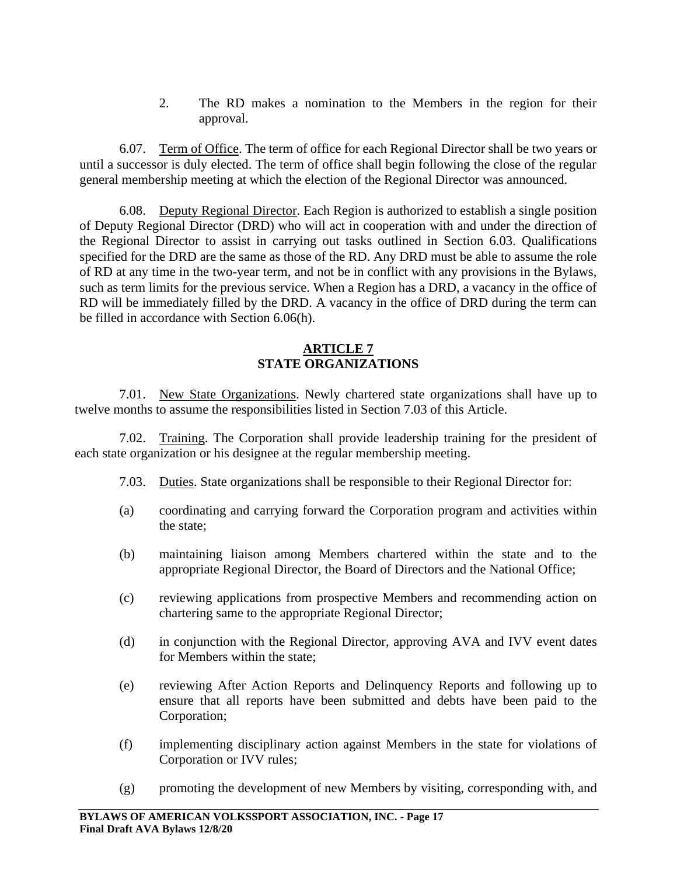2. The RD makes a nomination to the Members in the region for their approval.

6.07. Term of Office. The term of office for each Regional Director shall be two years or until a successor is duly elected. The term of office shall begin following the close of the regular general membership meeting at which the election of the Regional Director was announced.

6.08. Deputy Regional Director. Each Region is authorized to establish a single position of Deputy Regional Director (DRD) who will act in cooperation with and under the direction of the Regional Director to assist in carrying out tasks outlined in Section 6.03. Qualifications specified for the DRD are the same as those of the RD. Any DRD must be able to assume the role of RD at any time in the two-year term, and not be in conflict with any provisions in the Bylaws, such as term limits for the previous service. When a Region has a DRD, a vacancy in the office of RD will be immediately filled by the DRD. A vacancy in the office of DRD during the term can be filled in accordance with Section 6.06(h).

# **ARTICLE 7 STATE ORGANIZATIONS**

7.01. New State Organizations. Newly chartered state organizations shall have up to twelve months to assume the responsibilities listed in Section 7.03 of this Article.

7.02. Training. The Corporation shall provide leadership training for the president of each state organization or his designee at the regular membership meeting.

- 7.03. Duties. State organizations shall be responsible to their Regional Director for:
- (a) coordinating and carrying forward the Corporation program and activities within the state;
- (b) maintaining liaison among Members chartered within the state and to the appropriate Regional Director, the Board of Directors and the National Office;
- (c) reviewing applications from prospective Members and recommending action on chartering same to the appropriate Regional Director;
- (d) in conjunction with the Regional Director, approving AVA and IVV event dates for Members within the state;
- (e) reviewing After Action Reports and Delinquency Reports and following up to ensure that all reports have been submitted and debts have been paid to the Corporation;
- (f) implementing disciplinary action against Members in the state for violations of Corporation or IVV rules;
- (g) promoting the development of new Members by visiting, corresponding with, and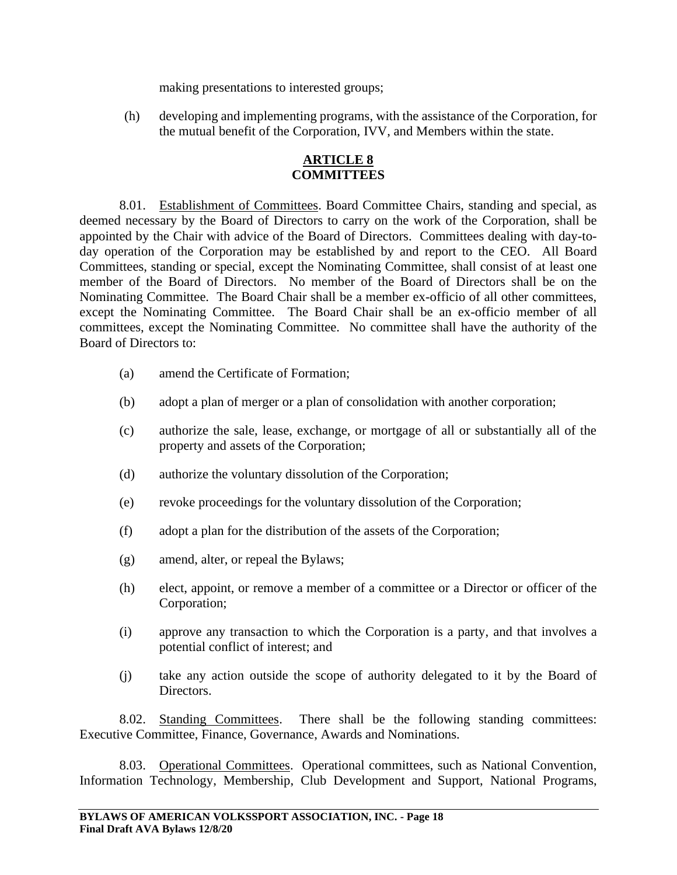making presentations to interested groups;

(h) developing and implementing programs, with the assistance of the Corporation, for the mutual benefit of the Corporation, IVV, and Members within the state.

# **ARTICLE 8 COMMITTEES**

8.01. Establishment of Committees. Board Committee Chairs, standing and special, as deemed necessary by the Board of Directors to carry on the work of the Corporation, shall be appointed by the Chair with advice of the Board of Directors. Committees dealing with day-today operation of the Corporation may be established by and report to the CEO. All Board Committees, standing or special, except the Nominating Committee, shall consist of at least one member of the Board of Directors. No member of the Board of Directors shall be on the Nominating Committee. The Board Chair shall be a member ex-officio of all other committees, except the Nominating Committee. The Board Chair shall be an ex-officio member of all committees, except the Nominating Committee. No committee shall have the authority of the Board of Directors to:

- (a) amend the Certificate of Formation;
- (b) adopt a plan of merger or a plan of consolidation with another corporation;
- (c) authorize the sale, lease, exchange, or mortgage of all or substantially all of the property and assets of the Corporation;
- (d) authorize the voluntary dissolution of the Corporation;
- (e) revoke proceedings for the voluntary dissolution of the Corporation;
- (f) adopt a plan for the distribution of the assets of the Corporation;
- (g) amend, alter, or repeal the Bylaws;
- (h) elect, appoint, or remove a member of a committee or a Director or officer of the Corporation;
- (i) approve any transaction to which the Corporation is a party, and that involves a potential conflict of interest; and
- (j) take any action outside the scope of authority delegated to it by the Board of Directors.

8.02. Standing Committees. There shall be the following standing committees: Executive Committee, Finance, Governance, Awards and Nominations.

8.03. Operational Committees. Operational committees, such as National Convention, Information Technology, Membership, Club Development and Support, National Programs,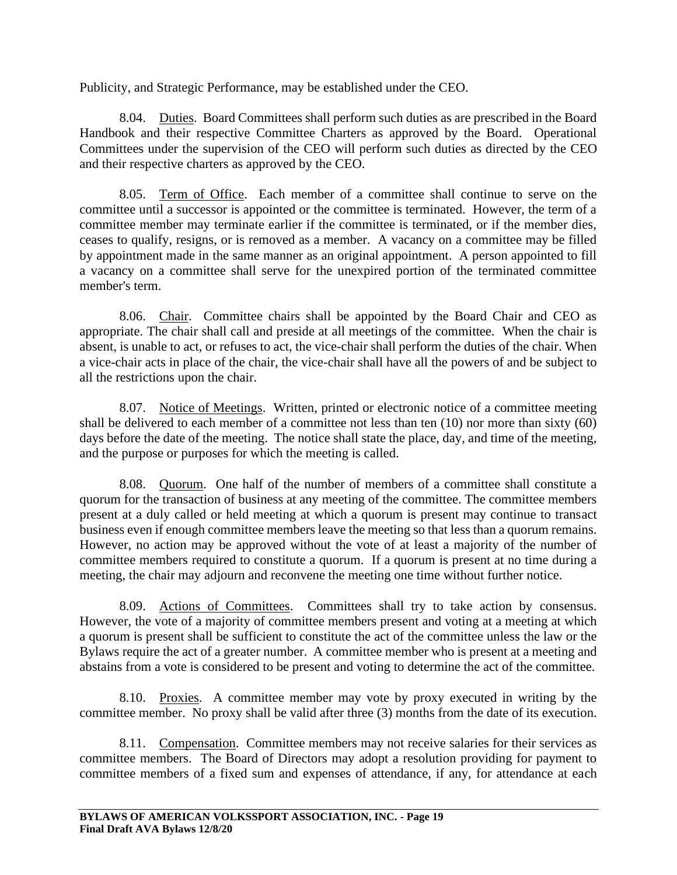Publicity, and Strategic Performance, may be established under the CEO.

8.04. Duties. Board Committees shall perform such duties as are prescribed in the Board Handbook and their respective Committee Charters as approved by the Board. Operational Committees under the supervision of the CEO will perform such duties as directed by the CEO and their respective charters as approved by the CEO.

8.05. Term of Office. Each member of a committee shall continue to serve on the committee until a successor is appointed or the committee is terminated. However, the term of a committee member may terminate earlier if the committee is terminated, or if the member dies, ceases to qualify, resigns, or is removed as a member. A vacancy on a committee may be filled by appointment made in the same manner as an original appointment. A person appointed to fill a vacancy on a committee shall serve for the unexpired portion of the terminated committee member's term.

8.06. Chair. Committee chairs shall be appointed by the Board Chair and CEO as appropriate. The chair shall call and preside at all meetings of the committee. When the chair is absent, is unable to act, or refuses to act, the vice-chair shall perform the duties of the chair. When a vice-chair acts in place of the chair, the vice-chair shall have all the powers of and be subject to all the restrictions upon the chair.

8.07. Notice of Meetings. Written, printed or electronic notice of a committee meeting shall be delivered to each member of a committee not less than ten (10) nor more than sixty (60) days before the date of the meeting. The notice shall state the place, day, and time of the meeting, and the purpose or purposes for which the meeting is called.

8.08. Quorum. One half of the number of members of a committee shall constitute a quorum for the transaction of business at any meeting of the committee. The committee members present at a duly called or held meeting at which a quorum is present may continue to transact business even if enough committee members leave the meeting so that less than a quorum remains. However, no action may be approved without the vote of at least a majority of the number of committee members required to constitute a quorum. If a quorum is present at no time during a meeting, the chair may adjourn and reconvene the meeting one time without further notice.

8.09. Actions of Committees. Committees shall try to take action by consensus. However, the vote of a majority of committee members present and voting at a meeting at which a quorum is present shall be sufficient to constitute the act of the committee unless the law or the Bylaws require the act of a greater number. A committee member who is present at a meeting and abstains from a vote is considered to be present and voting to determine the act of the committee.

8.10. Proxies. A committee member may vote by proxy executed in writing by the committee member. No proxy shall be valid after three (3) months from the date of its execution.

8.11. Compensation. Committee members may not receive salaries for their services as committee members. The Board of Directors may adopt a resolution providing for payment to committee members of a fixed sum and expenses of attendance, if any, for attendance at each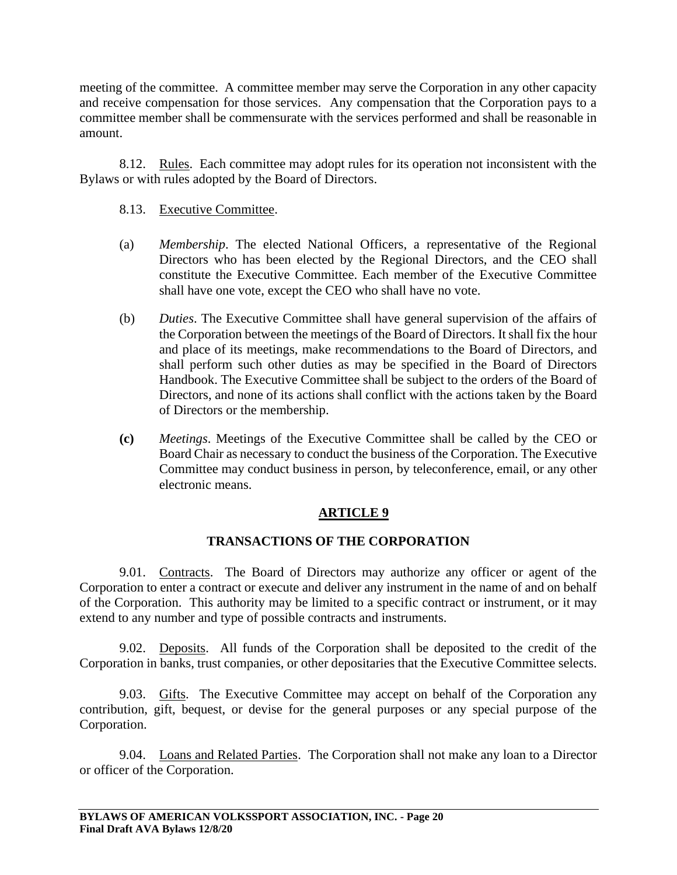meeting of the committee. A committee member may serve the Corporation in any other capacity and receive compensation for those services. Any compensation that the Corporation pays to a committee member shall be commensurate with the services performed and shall be reasonable in amount.

8.12. Rules. Each committee may adopt rules for its operation not inconsistent with the Bylaws or with rules adopted by the Board of Directors.

# 8.13. Executive Committee.

- (a) *Membership*. The elected National Officers, a representative of the Regional Directors who has been elected by the Regional Directors, and the CEO shall constitute the Executive Committee. Each member of the Executive Committee shall have one vote, except the CEO who shall have no vote.
- (b) *Duties*. The Executive Committee shall have general supervision of the affairs of the Corporation between the meetings of the Board of Directors. It shall fix the hour and place of its meetings, make recommendations to the Board of Directors, and shall perform such other duties as may be specified in the Board of Directors Handbook. The Executive Committee shall be subject to the orders of the Board of Directors, and none of its actions shall conflict with the actions taken by the Board of Directors or the membership.
- **(c)** *Meetings*. Meetings of the Executive Committee shall be called by the CEO or Board Chair as necessary to conduct the business of the Corporation. The Executive Committee may conduct business in person, by teleconference, email, or any other electronic means.

# **ARTICLE 9**

# **TRANSACTIONS OF THE CORPORATION**

9.01. Contracts. The Board of Directors may authorize any officer or agent of the Corporation to enter a contract or execute and deliver any instrument in the name of and on behalf of the Corporation. This authority may be limited to a specific contract or instrument, or it may extend to any number and type of possible contracts and instruments.

9.02. Deposits. All funds of the Corporation shall be deposited to the credit of the Corporation in banks, trust companies, or other depositaries that the Executive Committee selects.

9.03. Gifts. The Executive Committee may accept on behalf of the Corporation any contribution, gift, bequest, or devise for the general purposes or any special purpose of the Corporation.

9.04. Loans and Related Parties. The Corporation shall not make any loan to a Director or officer of the Corporation.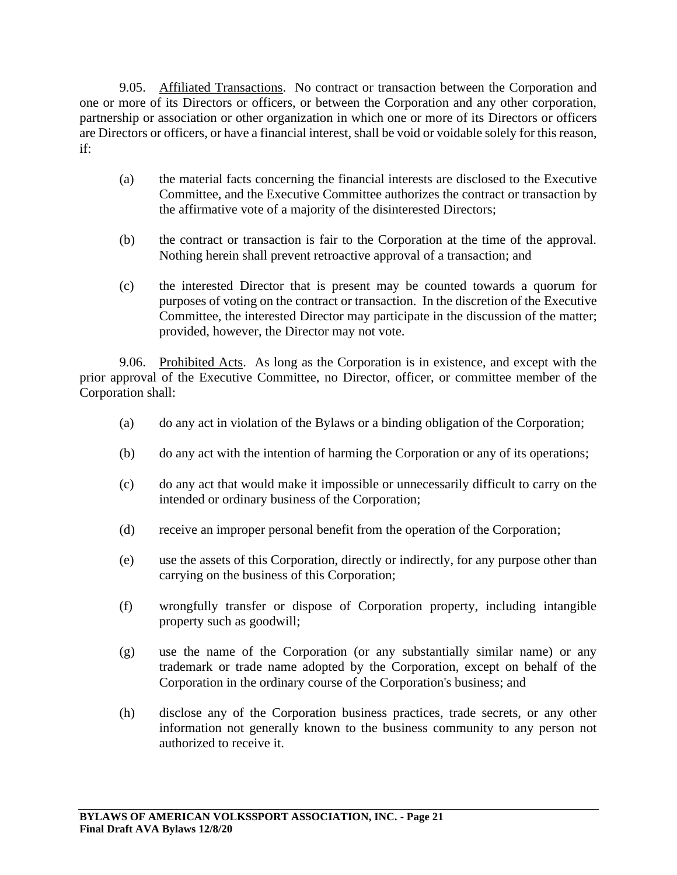9.05. Affiliated Transactions. No contract or transaction between the Corporation and one or more of its Directors or officers, or between the Corporation and any other corporation, partnership or association or other organization in which one or more of its Directors or officers are Directors or officers, or have a financial interest, shall be void or voidable solely for this reason, if:

- (a) the material facts concerning the financial interests are disclosed to the Executive Committee, and the Executive Committee authorizes the contract or transaction by the affirmative vote of a majority of the disinterested Directors;
- (b) the contract or transaction is fair to the Corporation at the time of the approval. Nothing herein shall prevent retroactive approval of a transaction; and
- (c) the interested Director that is present may be counted towards a quorum for purposes of voting on the contract or transaction. In the discretion of the Executive Committee, the interested Director may participate in the discussion of the matter; provided, however, the Director may not vote.

9.06. Prohibited Acts. As long as the Corporation is in existence, and except with the prior approval of the Executive Committee, no Director, officer, or committee member of the Corporation shall:

- (a) do any act in violation of the Bylaws or a binding obligation of the Corporation;
- (b) do any act with the intention of harming the Corporation or any of its operations;
- (c) do any act that would make it impossible or unnecessarily difficult to carry on the intended or ordinary business of the Corporation;
- (d) receive an improper personal benefit from the operation of the Corporation;
- (e) use the assets of this Corporation, directly or indirectly, for any purpose other than carrying on the business of this Corporation;
- (f) wrongfully transfer or dispose of Corporation property, including intangible property such as goodwill;
- (g) use the name of the Corporation (or any substantially similar name) or any trademark or trade name adopted by the Corporation, except on behalf of the Corporation in the ordinary course of the Corporation's business; and
- (h) disclose any of the Corporation business practices, trade secrets, or any other information not generally known to the business community to any person not authorized to receive it.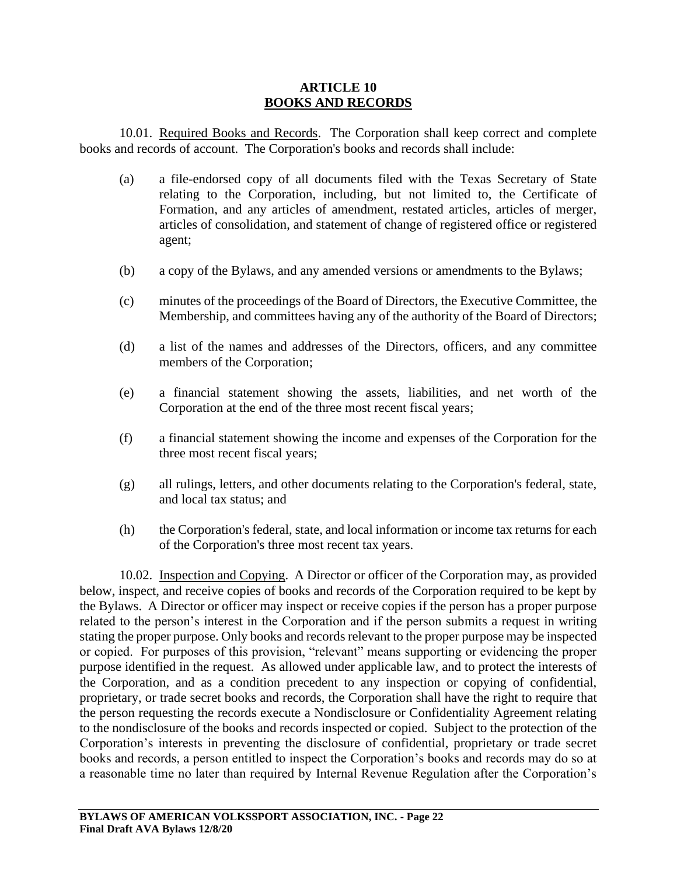#### **ARTICLE 10 BOOKS AND RECORDS**

10.01. Required Books and Records. The Corporation shall keep correct and complete books and records of account. The Corporation's books and records shall include:

- (a) a file-endorsed copy of all documents filed with the Texas Secretary of State relating to the Corporation, including, but not limited to, the Certificate of Formation, and any articles of amendment, restated articles, articles of merger, articles of consolidation, and statement of change of registered office or registered agent;
- (b) a copy of the Bylaws, and any amended versions or amendments to the Bylaws;
- (c) minutes of the proceedings of the Board of Directors, the Executive Committee, the Membership, and committees having any of the authority of the Board of Directors;
- (d) a list of the names and addresses of the Directors, officers, and any committee members of the Corporation;
- (e) a financial statement showing the assets, liabilities, and net worth of the Corporation at the end of the three most recent fiscal years;
- (f) a financial statement showing the income and expenses of the Corporation for the three most recent fiscal years;
- (g) all rulings, letters, and other documents relating to the Corporation's federal, state, and local tax status; and
- (h) the Corporation's federal, state, and local information or income tax returns for each of the Corporation's three most recent tax years.

10.02. Inspection and Copying. A Director or officer of the Corporation may, as provided below, inspect, and receive copies of books and records of the Corporation required to be kept by the Bylaws. A Director or officer may inspect or receive copies if the person has a proper purpose related to the person's interest in the Corporation and if the person submits a request in writing stating the proper purpose. Only books and records relevant to the proper purpose may be inspected or copied. For purposes of this provision, "relevant" means supporting or evidencing the proper purpose identified in the request. As allowed under applicable law, and to protect the interests of the Corporation, and as a condition precedent to any inspection or copying of confidential, proprietary, or trade secret books and records, the Corporation shall have the right to require that the person requesting the records execute a Nondisclosure or Confidentiality Agreement relating to the nondisclosure of the books and records inspected or copied. Subject to the protection of the Corporation's interests in preventing the disclosure of confidential, proprietary or trade secret books and records, a person entitled to inspect the Corporation's books and records may do so at a reasonable time no later than required by Internal Revenue Regulation after the Corporation's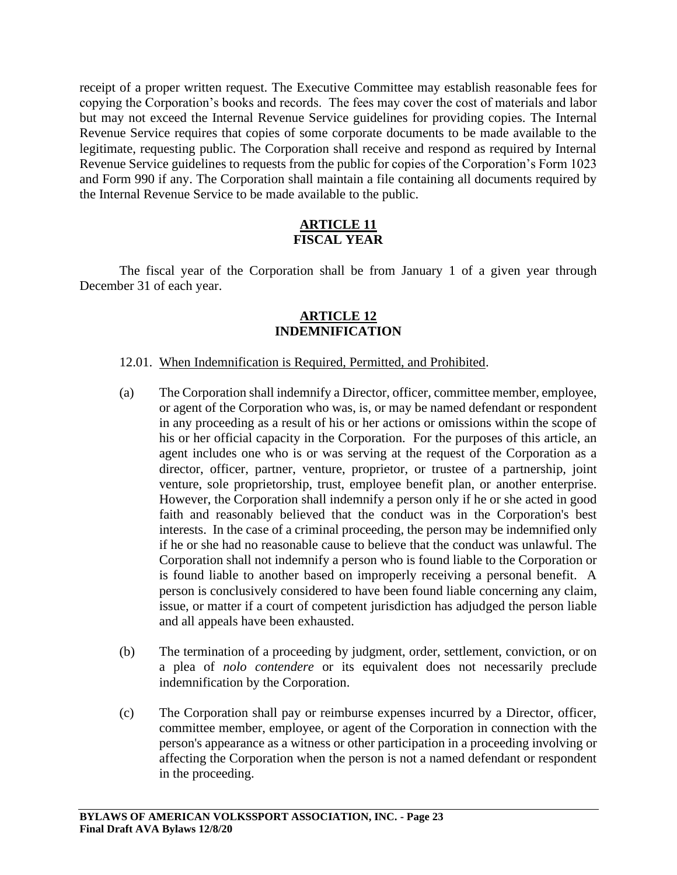receipt of a proper written request. The Executive Committee may establish reasonable fees for copying the Corporation's books and records. The fees may cover the cost of materials and labor but may not exceed the Internal Revenue Service guidelines for providing copies. The Internal Revenue Service requires that copies of some corporate documents to be made available to the legitimate, requesting public. The Corporation shall receive and respond as required by Internal Revenue Service guidelines to requests from the public for copies of the Corporation's Form 1023 and Form 990 if any. The Corporation shall maintain a file containing all documents required by the Internal Revenue Service to be made available to the public.

# **ARTICLE 11 FISCAL YEAR**

The fiscal year of the Corporation shall be from January 1 of a given year through December 31 of each year.

### **ARTICLE 12 INDEMNIFICATION**

### 12.01. When Indemnification is Required, Permitted, and Prohibited.

- (a) The Corporation shall indemnify a Director, officer, committee member, employee, or agent of the Corporation who was, is, or may be named defendant or respondent in any proceeding as a result of his or her actions or omissions within the scope of his or her official capacity in the Corporation. For the purposes of this article, an agent includes one who is or was serving at the request of the Corporation as a director, officer, partner, venture, proprietor, or trustee of a partnership, joint venture, sole proprietorship, trust, employee benefit plan, or another enterprise. However, the Corporation shall indemnify a person only if he or she acted in good faith and reasonably believed that the conduct was in the Corporation's best interests. In the case of a criminal proceeding, the person may be indemnified only if he or she had no reasonable cause to believe that the conduct was unlawful. The Corporation shall not indemnify a person who is found liable to the Corporation or is found liable to another based on improperly receiving a personal benefit. A person is conclusively considered to have been found liable concerning any claim, issue, or matter if a court of competent jurisdiction has adjudged the person liable and all appeals have been exhausted.
- (b) The termination of a proceeding by judgment, order, settlement, conviction, or on a plea of *nolo contendere* or its equivalent does not necessarily preclude indemnification by the Corporation.
- (c) The Corporation shall pay or reimburse expenses incurred by a Director, officer, committee member, employee, or agent of the Corporation in connection with the person's appearance as a witness or other participation in a proceeding involving or affecting the Corporation when the person is not a named defendant or respondent in the proceeding.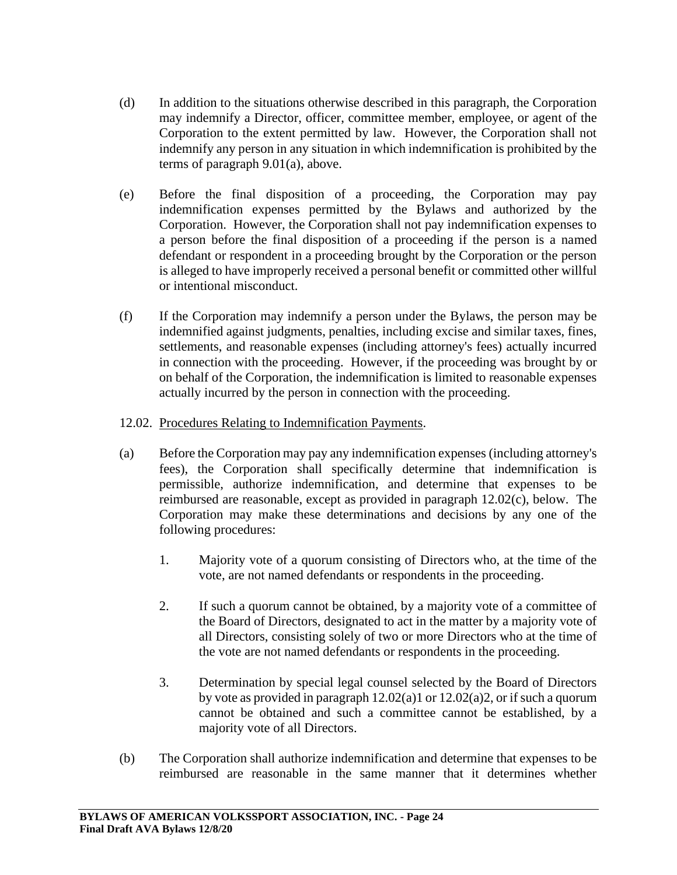- (d) In addition to the situations otherwise described in this paragraph, the Corporation may indemnify a Director, officer, committee member, employee, or agent of the Corporation to the extent permitted by law. However, the Corporation shall not indemnify any person in any situation in which indemnification is prohibited by the terms of paragraph 9.01(a), above.
- (e) Before the final disposition of a proceeding, the Corporation may pay indemnification expenses permitted by the Bylaws and authorized by the Corporation. However, the Corporation shall not pay indemnification expenses to a person before the final disposition of a proceeding if the person is a named defendant or respondent in a proceeding brought by the Corporation or the person is alleged to have improperly received a personal benefit or committed other willful or intentional misconduct.
- (f) If the Corporation may indemnify a person under the Bylaws, the person may be indemnified against judgments, penalties, including excise and similar taxes, fines, settlements, and reasonable expenses (including attorney's fees) actually incurred in connection with the proceeding. However, if the proceeding was brought by or on behalf of the Corporation, the indemnification is limited to reasonable expenses actually incurred by the person in connection with the proceeding.

## 12.02. Procedures Relating to Indemnification Payments.

- (a) Before the Corporation may pay any indemnification expenses (including attorney's fees), the Corporation shall specifically determine that indemnification is permissible, authorize indemnification, and determine that expenses to be reimbursed are reasonable, except as provided in paragraph 12.02(c), below. The Corporation may make these determinations and decisions by any one of the following procedures:
	- 1. Majority vote of a quorum consisting of Directors who, at the time of the vote, are not named defendants or respondents in the proceeding.
	- 2. If such a quorum cannot be obtained, by a majority vote of a committee of the Board of Directors, designated to act in the matter by a majority vote of all Directors, consisting solely of two or more Directors who at the time of the vote are not named defendants or respondents in the proceeding.
	- 3. Determination by special legal counsel selected by the Board of Directors by vote as provided in paragraph  $12.02(a)1$  or  $12.02(a)2$ , or if such a quorum cannot be obtained and such a committee cannot be established, by a majority vote of all Directors.
- (b) The Corporation shall authorize indemnification and determine that expenses to be reimbursed are reasonable in the same manner that it determines whether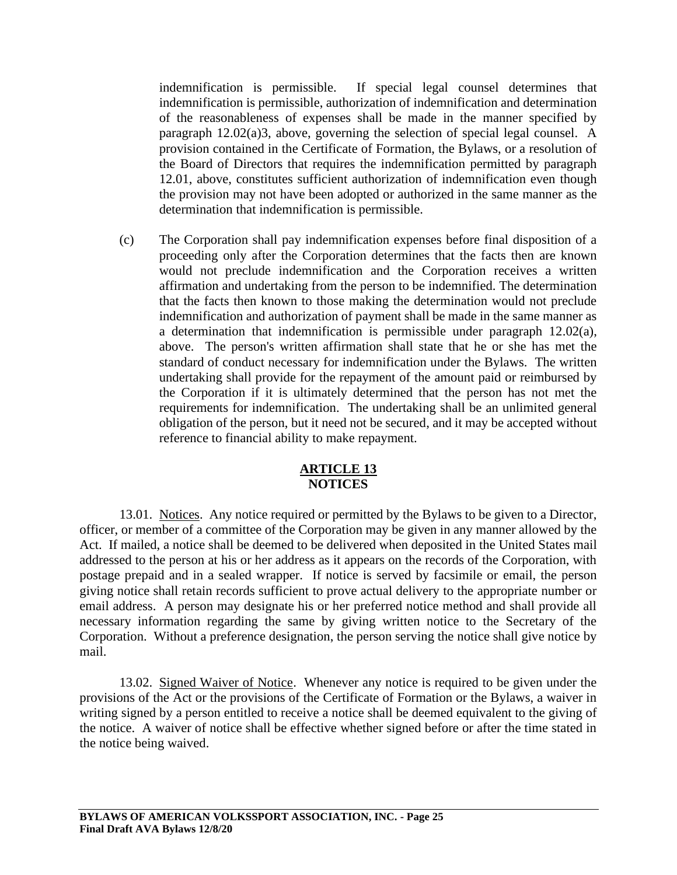indemnification is permissible. If special legal counsel determines that indemnification is permissible, authorization of indemnification and determination of the reasonableness of expenses shall be made in the manner specified by paragraph 12.02(a)3, above, governing the selection of special legal counsel. A provision contained in the Certificate of Formation, the Bylaws, or a resolution of the Board of Directors that requires the indemnification permitted by paragraph 12.01, above, constitutes sufficient authorization of indemnification even though the provision may not have been adopted or authorized in the same manner as the determination that indemnification is permissible.

(c) The Corporation shall pay indemnification expenses before final disposition of a proceeding only after the Corporation determines that the facts then are known would not preclude indemnification and the Corporation receives a written affirmation and undertaking from the person to be indemnified. The determination that the facts then known to those making the determination would not preclude indemnification and authorization of payment shall be made in the same manner as a determination that indemnification is permissible under paragraph 12.02(a), above. The person's written affirmation shall state that he or she has met the standard of conduct necessary for indemnification under the Bylaws. The written undertaking shall provide for the repayment of the amount paid or reimbursed by the Corporation if it is ultimately determined that the person has not met the requirements for indemnification. The undertaking shall be an unlimited general obligation of the person, but it need not be secured, and it may be accepted without reference to financial ability to make repayment.

## **ARTICLE 13 NOTICES**

13.01. Notices. Any notice required or permitted by the Bylaws to be given to a Director, officer, or member of a committee of the Corporation may be given in any manner allowed by the Act. If mailed, a notice shall be deemed to be delivered when deposited in the United States mail addressed to the person at his or her address as it appears on the records of the Corporation, with postage prepaid and in a sealed wrapper. If notice is served by facsimile or email, the person giving notice shall retain records sufficient to prove actual delivery to the appropriate number or email address. A person may designate his or her preferred notice method and shall provide all necessary information regarding the same by giving written notice to the Secretary of the Corporation. Without a preference designation, the person serving the notice shall give notice by mail.

13.02. Signed Waiver of Notice. Whenever any notice is required to be given under the provisions of the Act or the provisions of the Certificate of Formation or the Bylaws, a waiver in writing signed by a person entitled to receive a notice shall be deemed equivalent to the giving of the notice. A waiver of notice shall be effective whether signed before or after the time stated in the notice being waived.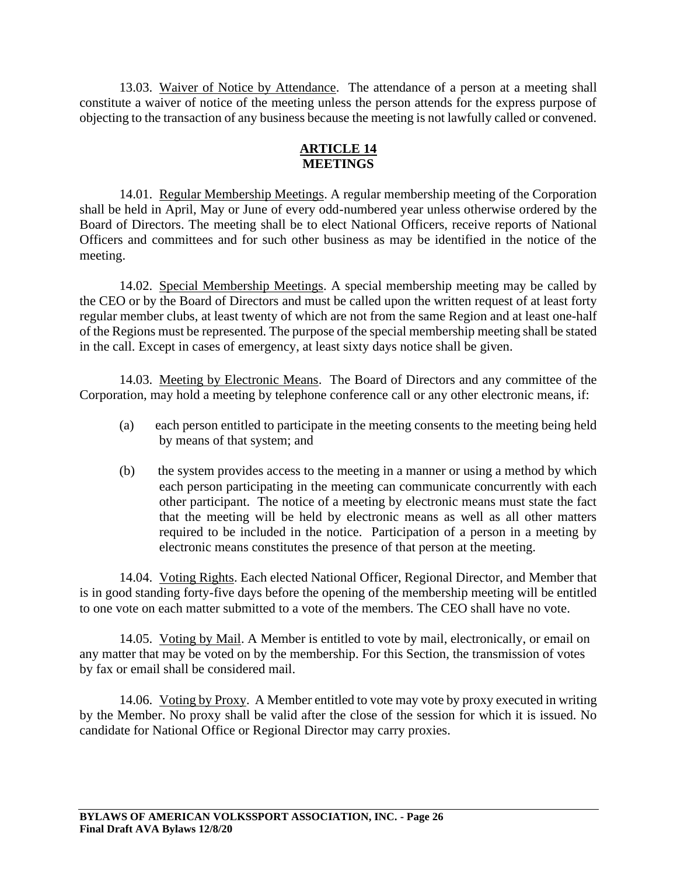13.03. Waiver of Notice by Attendance. The attendance of a person at a meeting shall constitute a waiver of notice of the meeting unless the person attends for the express purpose of objecting to the transaction of any business because the meeting is not lawfully called or convened.

# **ARTICLE 14 MEETINGS**

14.01. Regular Membership Meetings. A regular membership meeting of the Corporation shall be held in April, May or June of every odd-numbered year unless otherwise ordered by the Board of Directors. The meeting shall be to elect National Officers, receive reports of National Officers and committees and for such other business as may be identified in the notice of the meeting.

14.02. Special Membership Meetings. A special membership meeting may be called by the CEO or by the Board of Directors and must be called upon the written request of at least forty regular member clubs, at least twenty of which are not from the same Region and at least one-half of the Regions must be represented. The purpose of the special membership meeting shall be stated in the call. Except in cases of emergency, at least sixty days notice shall be given.

14.03. Meeting by Electronic Means. The Board of Directors and any committee of the Corporation, may hold a meeting by telephone conference call or any other electronic means, if:

- (a) each person entitled to participate in the meeting consents to the meeting being held by means of that system; and
- (b) the system provides access to the meeting in a manner or using a method by which each person participating in the meeting can communicate concurrently with each other participant. The notice of a meeting by electronic means must state the fact that the meeting will be held by electronic means as well as all other matters required to be included in the notice. Participation of a person in a meeting by electronic means constitutes the presence of that person at the meeting.

14.04. Voting Rights. Each elected National Officer, Regional Director, and Member that is in good standing forty-five days before the opening of the membership meeting will be entitled to one vote on each matter submitted to a vote of the members. The CEO shall have no vote.

14.05. Voting by Mail. A Member is entitled to vote by mail, electronically, or email on any matter that may be voted on by the membership. For this Section, the transmission of votes by fax or email shall be considered mail.

14.06. Voting by Proxy. A Member entitled to vote may vote by proxy executed in writing by the Member. No proxy shall be valid after the close of the session for which it is issued. No candidate for National Office or Regional Director may carry proxies.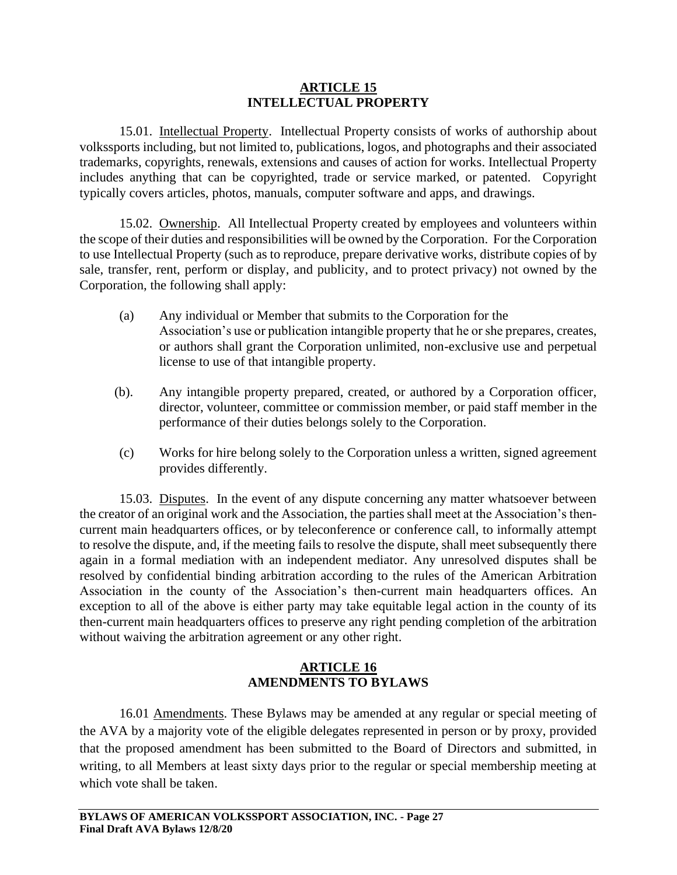### **ARTICLE 15 INTELLECTUAL PROPERTY**

15.01. Intellectual Property. Intellectual Property consists of works of authorship about volkssports including, but not limited to, publications, logos, and photographs and their associated trademarks, copyrights, renewals, extensions and causes of action for works. Intellectual Property includes anything that can be copyrighted, trade or service marked, or patented. Copyright typically covers articles, photos, manuals, computer software and apps, and drawings.

15.02. Ownership. All Intellectual Property created by employees and volunteers within the scope of their duties and responsibilities will be owned by the Corporation. For the Corporation to use Intellectual Property (such as to reproduce, prepare derivative works, distribute copies of by sale, transfer, rent, perform or display, and publicity, and to protect privacy) not owned by the Corporation, the following shall apply:

- (a) Any individual or Member that submits to the Corporation for the Association's use or publication intangible property that he or she prepares, creates, or authors shall grant the Corporation unlimited, non-exclusive use and perpetual license to use of that intangible property.
- (b). Any intangible property prepared, created, or authored by a Corporation officer, director, volunteer, committee or commission member, or paid staff member in the performance of their duties belongs solely to the Corporation.
- (c) Works for hire belong solely to the Corporation unless a written, signed agreement provides differently.

15.03. Disputes. In the event of any dispute concerning any matter whatsoever between the creator of an original work and the Association, the parties shall meet at the Association's thencurrent main headquarters offices, or by teleconference or conference call, to informally attempt to resolve the dispute, and, if the meeting fails to resolve the dispute, shall meet subsequently there again in a formal mediation with an independent mediator. Any unresolved disputes shall be resolved by confidential binding arbitration according to the rules of the American Arbitration Association in the county of the Association's then-current main headquarters offices. An exception to all of the above is either party may take equitable legal action in the county of its then-current main headquarters offices to preserve any right pending completion of the arbitration without waiving the arbitration agreement or any other right.

## **ARTICLE 16 AMENDMENTS TO BYLAWS**

16.01 Amendments. These Bylaws may be amended at any regular or special meeting of the AVA by a majority vote of the eligible delegates represented in person or by proxy, provided that the proposed amendment has been submitted to the Board of Directors and submitted, in writing, to all Members at least sixty days prior to the regular or special membership meeting at which vote shall be taken.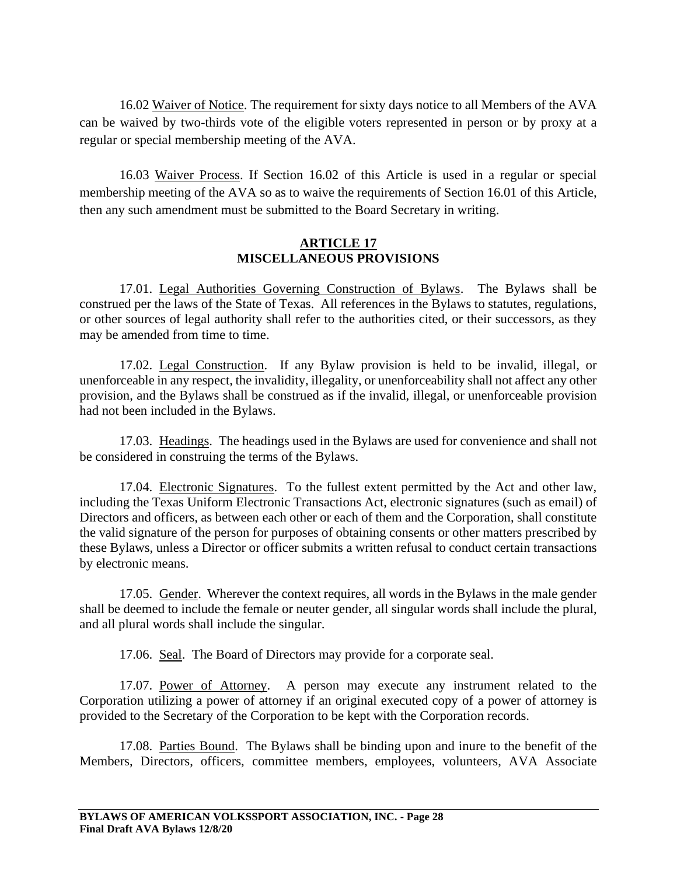16.02 Waiver of Notice. The requirement for sixty days notice to all Members of the AVA can be waived by two-thirds vote of the eligible voters represented in person or by proxy at a regular or special membership meeting of the AVA.

16.03 Waiver Process. If Section 16.02 of this Article is used in a regular or special membership meeting of the AVA so as to waive the requirements of Section 16.01 of this Article, then any such amendment must be submitted to the Board Secretary in writing.

### **ARTICLE 17 MISCELLANEOUS PROVISIONS**

17.01. Legal Authorities Governing Construction of Bylaws. The Bylaws shall be construed per the laws of the State of Texas. All references in the Bylaws to statutes, regulations, or other sources of legal authority shall refer to the authorities cited, or their successors, as they may be amended from time to time.

17.02. Legal Construction. If any Bylaw provision is held to be invalid, illegal, or unenforceable in any respect, the invalidity, illegality, or unenforceability shall not affect any other provision, and the Bylaws shall be construed as if the invalid, illegal, or unenforceable provision had not been included in the Bylaws.

17.03. Headings. The headings used in the Bylaws are used for convenience and shall not be considered in construing the terms of the Bylaws.

17.04. Electronic Signatures. To the fullest extent permitted by the Act and other law, including the Texas Uniform Electronic Transactions Act, electronic signatures (such as email) of Directors and officers, as between each other or each of them and the Corporation, shall constitute the valid signature of the person for purposes of obtaining consents or other matters prescribed by these Bylaws, unless a Director or officer submits a written refusal to conduct certain transactions by electronic means.

17.05. Gender. Wherever the context requires, all words in the Bylaws in the male gender shall be deemed to include the female or neuter gender, all singular words shall include the plural, and all plural words shall include the singular.

17.06. Seal. The Board of Directors may provide for a corporate seal.

17.07. Power of Attorney. A person may execute any instrument related to the Corporation utilizing a power of attorney if an original executed copy of a power of attorney is provided to the Secretary of the Corporation to be kept with the Corporation records.

17.08. Parties Bound. The Bylaws shall be binding upon and inure to the benefit of the Members, Directors, officers, committee members, employees, volunteers, AVA Associate